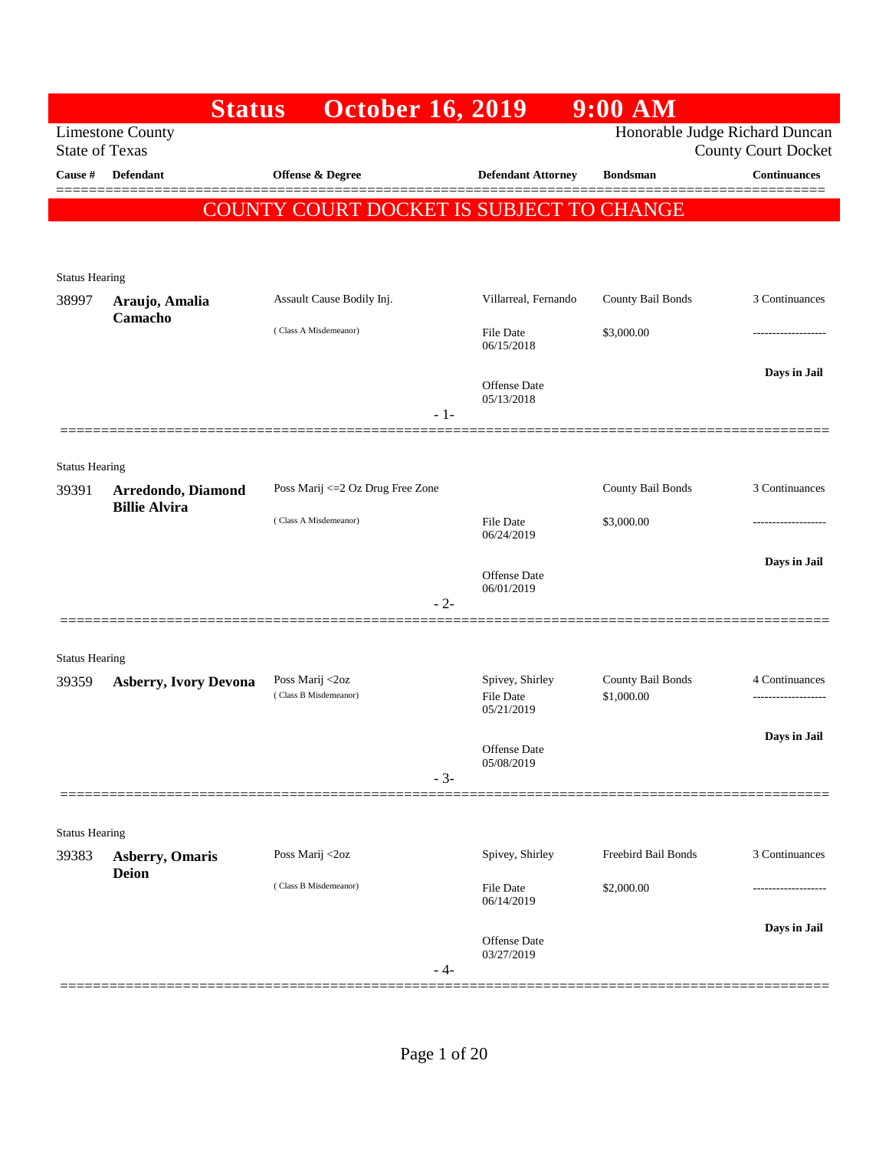|                       | <b>Status</b>                              | <b>October 16, 2019</b>                  |                                                   | $9:00$ AM                       |                                                              |
|-----------------------|--------------------------------------------|------------------------------------------|---------------------------------------------------|---------------------------------|--------------------------------------------------------------|
| <b>State of Texas</b> | <b>Limestone County</b>                    |                                          |                                                   |                                 | Honorable Judge Richard Duncan<br><b>County Court Docket</b> |
| Cause #               | <b>Defendant</b>                           | Offense & Degree                         | <b>Defendant Attorney</b>                         | <b>Bondsman</b>                 | <b>Continuances</b>                                          |
|                       |                                            | COUNTY COURT DOCKET IS SUBJECT TO CHANGE |                                                   |                                 |                                                              |
|                       |                                            |                                          |                                                   |                                 |                                                              |
| <b>Status Hearing</b> |                                            |                                          |                                                   |                                 |                                                              |
| 38997                 | Araujo, Amalia<br>Camacho                  | Assault Cause Bodily Inj.                | Villarreal, Fernando                              | County Bail Bonds               | 3 Continuances                                               |
|                       |                                            | (Class A Misdemeanor)                    | File Date<br>06/15/2018                           | \$3,000.00                      |                                                              |
|                       |                                            | $-1-$                                    | <b>Offense Date</b><br>05/13/2018                 |                                 | Days in Jail                                                 |
|                       |                                            |                                          |                                                   |                                 |                                                              |
| <b>Status Hearing</b> |                                            |                                          |                                                   |                                 |                                                              |
| 39391                 | Arredondo, Diamond<br><b>Billie Alvira</b> | Poss Marij <= 2 Oz Drug Free Zone        |                                                   | County Bail Bonds               | 3 Continuances                                               |
|                       |                                            | (Class A Misdemeanor)                    | <b>File Date</b><br>06/24/2019                    | \$3,000.00                      | .                                                            |
|                       |                                            |                                          | <b>Offense Date</b>                               |                                 | Days in Jail                                                 |
|                       |                                            | $-2-$                                    | 06/01/2019                                        |                                 |                                                              |
|                       |                                            |                                          |                                                   |                                 |                                                              |
| <b>Status Hearing</b> |                                            |                                          |                                                   |                                 |                                                              |
| 39359                 | <b>Asberry, Ivory Devona</b>               | Poss Marij <2oz<br>(Class B Misdemeanor) | Spivey, Shirley<br><b>File Date</b><br>05/21/2019 | County Bail Bonds<br>\$1,000.00 | 4 Continuances                                               |
|                       |                                            |                                          | Offense Date                                      |                                 | Days in Jail                                                 |
|                       |                                            | $-3-$                                    | 05/08/2019                                        |                                 |                                                              |
| <b>Status Hearing</b> |                                            |                                          |                                                   |                                 |                                                              |
| 39383                 | <b>Asberry, Omaris</b>                     | Poss Marij <2oz                          | Spivey, Shirley                                   | Freebird Bail Bonds             | 3 Continuances                                               |
|                       | <b>Deion</b>                               | (Class B Misdemeanor)                    | <b>File Date</b><br>06/14/2019                    | \$2,000.00                      |                                                              |
|                       |                                            | - 4-                                     | Offense Date<br>03/27/2019                        |                                 | Days in Jail                                                 |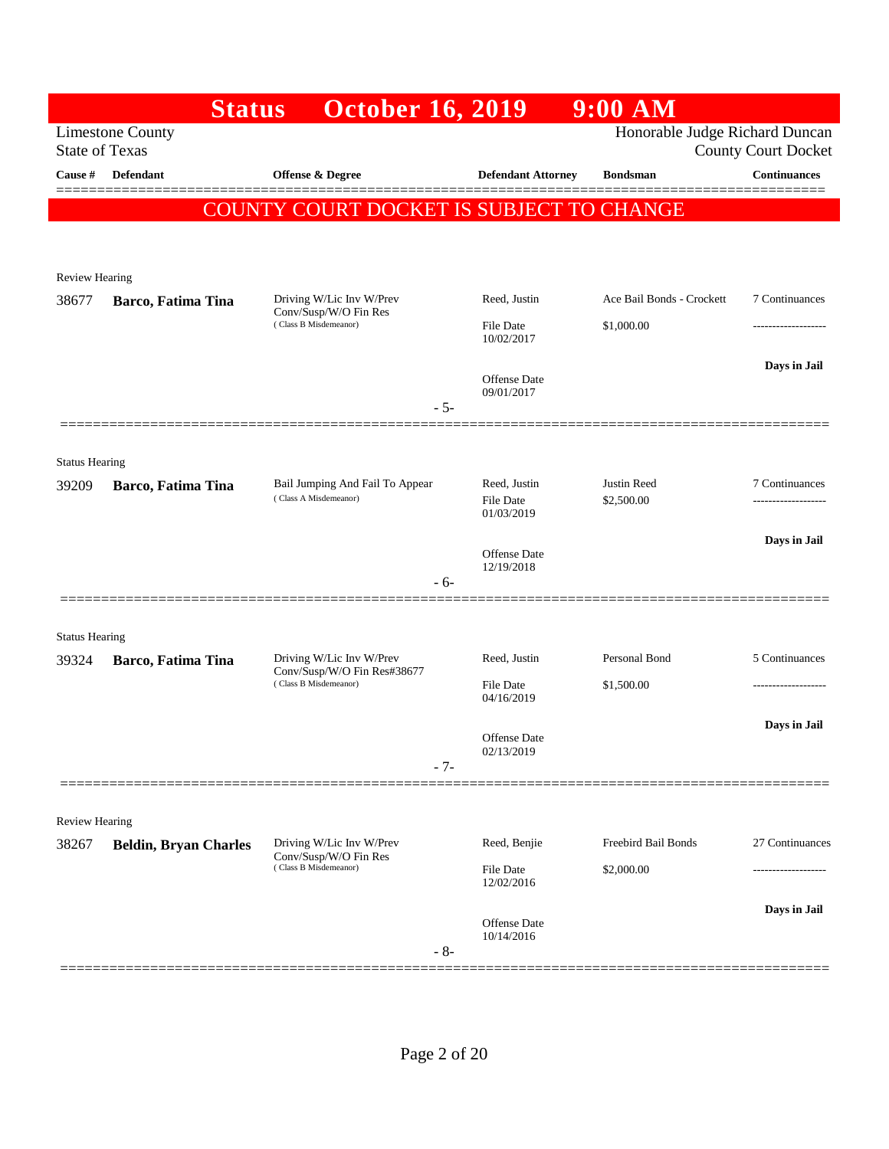|                       |                              | <b>October 16, 2019</b><br><b>Status</b>                                         |                                   | $9:00$ AM                        |                                       |
|-----------------------|------------------------------|----------------------------------------------------------------------------------|-----------------------------------|----------------------------------|---------------------------------------|
| <b>State of Texas</b> | <b>Limestone County</b>      |                                                                                  |                                   | Honorable Judge Richard Duncan   | <b>County Court Docket</b>            |
| Cause #               | Defendant                    | Offense & Degree                                                                 | <b>Defendant Attorney</b>         | <b>Bondsman</b>                  | <b>Continuances</b>                   |
|                       |                              | COUNTY COURT DOCKET IS SUBJECT TO CHANGE                                         |                                   |                                  |                                       |
|                       |                              |                                                                                  |                                   |                                  |                                       |
| <b>Review Hearing</b> |                              |                                                                                  |                                   |                                  |                                       |
| 38677                 | Barco, Fatima Tina           | Driving W/Lic Inv W/Prev<br>Conv/Susp/W/O Fin Res                                | Reed, Justin                      | Ace Bail Bonds - Crockett        | 7 Continuances                        |
|                       |                              | (Class B Misdemeanor)                                                            | <b>File Date</b><br>10/02/2017    | \$1,000.00                       | -------------------                   |
|                       |                              |                                                                                  |                                   |                                  | Days in Jail                          |
|                       |                              |                                                                                  | <b>Offense Date</b><br>09/01/2017 |                                  |                                       |
|                       |                              | $-5-$                                                                            |                                   |                                  |                                       |
| <b>Status Hearing</b> |                              |                                                                                  |                                   |                                  |                                       |
| 39209                 | Barco, Fatima Tina           | Bail Jumping And Fail To Appear<br>(Class A Misdemeanor)                         | Reed, Justin<br>File Date         | <b>Justin Reed</b><br>\$2,500.00 | 7 Continuances                        |
|                       |                              |                                                                                  | 01/03/2019                        |                                  |                                       |
|                       |                              |                                                                                  | <b>Offense Date</b>               |                                  | Days in Jail                          |
|                       |                              | $-6-$                                                                            | 12/19/2018                        |                                  |                                       |
|                       |                              |                                                                                  |                                   |                                  |                                       |
| <b>Status Hearing</b> |                              |                                                                                  |                                   |                                  |                                       |
| 39324                 | Barco, Fatima Tina           | Driving W/Lic Inv W/Prev<br>Conv/Susp/W/O Fin Res#38677<br>(Class B Misdemeanor) | Reed, Justin<br>File Date         | Personal Bond<br>\$1,500.00      | 5 Continuances<br>------------------- |
|                       |                              |                                                                                  | 04/16/2019                        |                                  |                                       |
|                       |                              |                                                                                  | Offense Date                      |                                  | Days in Jail                          |
|                       |                              | $-7-$                                                                            | 02/13/2019                        |                                  |                                       |
|                       |                              |                                                                                  |                                   |                                  |                                       |
| <b>Review Hearing</b> |                              | Driving W/Lic Inv W/Prev                                                         | Reed, Benjie                      | Freebird Bail Bonds              | 27 Continuances                       |
| 38267                 | <b>Beldin, Bryan Charles</b> | Conv/Susp/W/O Fin Res<br>(Class B Misdemeanor)                                   | <b>File Date</b>                  | \$2,000.00                       |                                       |
|                       |                              |                                                                                  | 12/02/2016                        |                                  |                                       |
|                       |                              |                                                                                  | <b>Offense Date</b><br>10/14/2016 |                                  | Days in Jail                          |
|                       |                              | $-8-$                                                                            |                                   |                                  |                                       |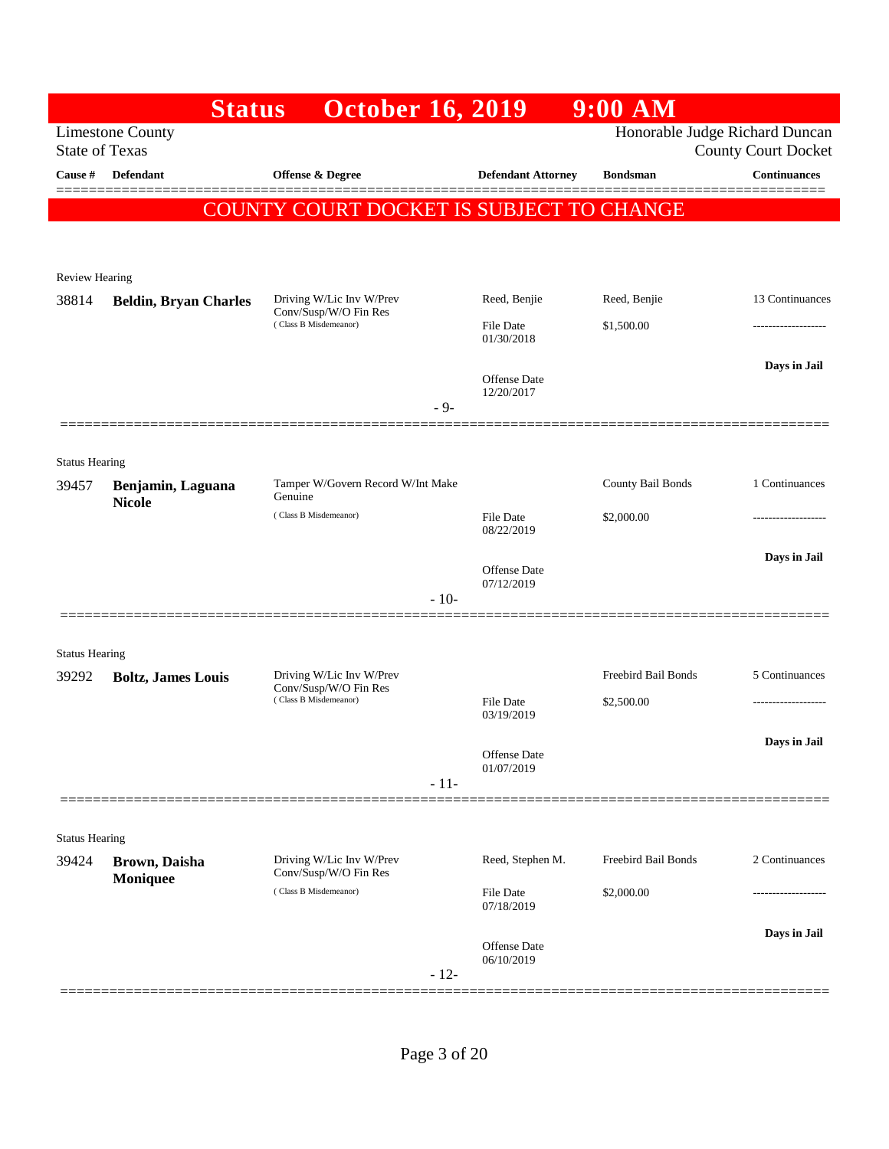|                                | <b>Status</b>                                    | <b>October 16, 2019</b>                                                    |                            | $9:00$ AM                      |                            |
|--------------------------------|--------------------------------------------------|----------------------------------------------------------------------------|----------------------------|--------------------------------|----------------------------|
|                                | <b>Limestone County</b><br><b>State of Texas</b> |                                                                            |                            | Honorable Judge Richard Duncan | <b>County Court Docket</b> |
| Cause #                        | <b>Defendant</b>                                 | <b>Offense &amp; Degree</b>                                                | <b>Defendant Attorney</b>  | <b>Bondsman</b>                | <b>Continuances</b>        |
|                                | COUNT                                            | 'Y COURT DOCKET IS SUBJECT TO CHANGE                                       |                            |                                | -------                    |
|                                |                                                  |                                                                            |                            |                                |                            |
| <b>Review Hearing</b><br>38814 |                                                  | Driving W/Lic Inv W/Prev                                                   | Reed, Benjie               | Reed, Benjie                   | 13 Continuances            |
|                                | <b>Beldin, Bryan Charles</b>                     | Conv/Susp/W/O Fin Res<br>(Class B Misdemeanor)                             | File Date                  | \$1,500.00                     | .                          |
|                                |                                                  |                                                                            | 01/30/2018                 |                                |                            |
|                                |                                                  |                                                                            | Offense Date               |                                | Days in Jail               |
|                                |                                                  | $-9-$                                                                      | 12/20/2017                 |                                |                            |
|                                |                                                  |                                                                            |                            |                                |                            |
| <b>Status Hearing</b>          |                                                  |                                                                            |                            |                                |                            |
| 39457                          | Benjamin, Laguana<br><b>Nicole</b>               | Tamper W/Govern Record W/Int Make<br>Genuine                               |                            | County Bail Bonds              | 1 Continuances             |
|                                |                                                  | (Class B Misdemeanor)                                                      | File Date<br>08/22/2019    | \$2,000.00                     |                            |
|                                |                                                  |                                                                            |                            |                                | Days in Jail               |
|                                |                                                  |                                                                            | Offense Date<br>07/12/2019 |                                |                            |
|                                |                                                  | $-10-$                                                                     |                            |                                |                            |
|                                |                                                  |                                                                            |                            |                                |                            |
| <b>Status Hearing</b>          |                                                  |                                                                            |                            | Freebird Bail Bonds            | 5 Continuances             |
| 39292                          | <b>Boltz</b> , James Louis                       | Driving W/Lic Inv W/Prev<br>Conv/Susp/W/O Fin Res<br>(Class B Misdemeanor) | <b>File Date</b>           | \$2,500.00                     |                            |
|                                |                                                  |                                                                            | 03/19/2019                 |                                |                            |
|                                |                                                  |                                                                            | Offense Date               |                                | Days in Jail               |
|                                |                                                  | $-11-$                                                                     | 01/07/2019                 |                                |                            |
|                                |                                                  |                                                                            |                            |                                |                            |
| <b>Status Hearing</b>          |                                                  |                                                                            |                            |                                |                            |
| 39424                          | Brown, Daisha                                    | Driving W/Lic Inv W/Prev<br>Conv/Susp/W/O Fin Res                          | Reed, Stephen M.           | Freebird Bail Bonds            | 2 Continuances             |
|                                | Moniquee                                         | (Class B Misdemeanor)                                                      | <b>File Date</b>           | \$2,000.00                     |                            |
|                                |                                                  |                                                                            | 07/18/2019                 |                                |                            |
|                                |                                                  |                                                                            | Offense Date<br>06/10/2019 |                                | Days in Jail               |
|                                |                                                  | $-12-$                                                                     |                            |                                |                            |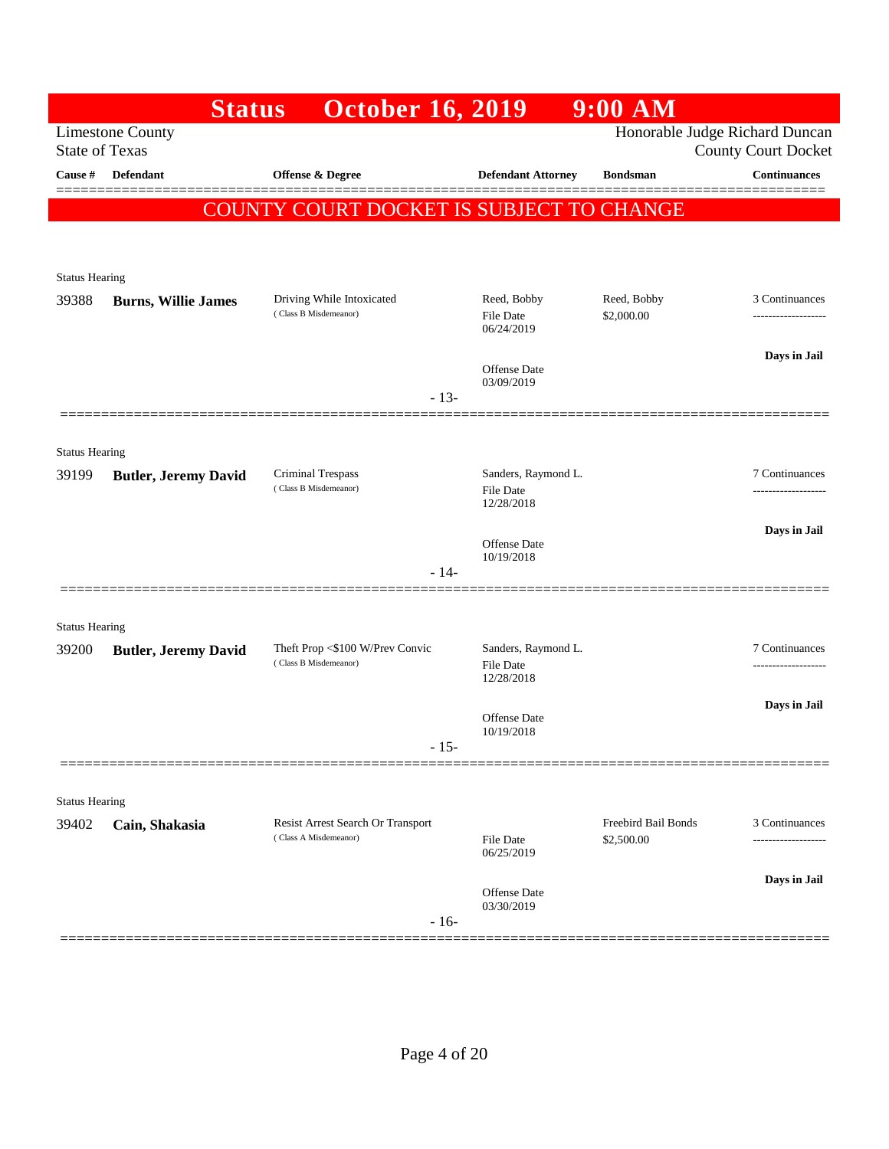|                       | <b>Status</b>                                    | <b>October 16, 2019</b>                    |                                   | $9:00$ AM                  |                                                              |
|-----------------------|--------------------------------------------------|--------------------------------------------|-----------------------------------|----------------------------|--------------------------------------------------------------|
|                       | <b>Limestone County</b><br><b>State of Texas</b> |                                            |                                   |                            | Honorable Judge Richard Duncan<br><b>County Court Docket</b> |
| Cause #               | Defendant                                        | Offense & Degree                           | <b>Defendant Attorney</b>         | <b>Bondsman</b>            | <b>Continuances</b>                                          |
|                       |                                                  | COUNTY COURT DOCKET IS SUBJECT TO CHANGE   |                                   |                            |                                                              |
|                       |                                                  |                                            |                                   |                            |                                                              |
| <b>Status Hearing</b> |                                                  |                                            |                                   |                            |                                                              |
| 39388                 | <b>Burns, Willie James</b>                       | Driving While Intoxicated                  | Reed, Bobby                       | Reed, Bobby                | 3 Continuances                                               |
|                       |                                                  | (Class B Misdemeanor)                      | <b>File Date</b><br>06/24/2019    | \$2,000.00                 | ------------------                                           |
|                       |                                                  |                                            | Offense Date                      |                            | Days in Jail                                                 |
|                       |                                                  | $-13-$                                     | 03/09/2019                        |                            |                                                              |
|                       |                                                  |                                            |                                   |                            |                                                              |
| <b>Status Hearing</b> |                                                  |                                            |                                   |                            |                                                              |
| 39199                 | <b>Butler, Jeremy David</b>                      | Criminal Trespass<br>(Class B Misdemeanor) | Sanders, Raymond L.<br>File Date  |                            | 7 Continuances                                               |
|                       |                                                  |                                            | 12/28/2018                        |                            |                                                              |
|                       |                                                  |                                            | <b>Offense Date</b><br>10/19/2018 |                            | Days in Jail                                                 |
|                       |                                                  | - 14-                                      |                                   |                            |                                                              |
|                       |                                                  |                                            |                                   |                            |                                                              |
| <b>Status Hearing</b> |                                                  | Theft Prop <\$100 W/Prev Convic            | Sanders, Raymond L.               |                            | 7 Continuances                                               |
| 39200                 | <b>Butler, Jeremy David</b>                      | (Class B Misdemeanor)                      | File Date<br>12/28/2018           |                            |                                                              |
|                       |                                                  |                                            |                                   |                            | Days in Jail                                                 |
|                       |                                                  |                                            | <b>Offense Date</b><br>10/19/2018 |                            |                                                              |
|                       |                                                  | - 15-                                      |                                   |                            |                                                              |
| <b>Status Hearing</b> |                                                  |                                            |                                   |                            |                                                              |
| 39402                 | Cain, Shakasia                                   | Resist Arrest Search Or Transport          |                                   | <b>Freebird Bail Bonds</b> | 3 Continuances                                               |
|                       |                                                  | (Class A Misdemeanor)                      | <b>File Date</b><br>06/25/2019    | \$2,500.00                 |                                                              |
|                       |                                                  |                                            | Offense Date                      |                            | Days in Jail                                                 |
|                       |                                                  | $-16-$                                     | 03/30/2019                        |                            |                                                              |
|                       |                                                  |                                            |                                   |                            |                                                              |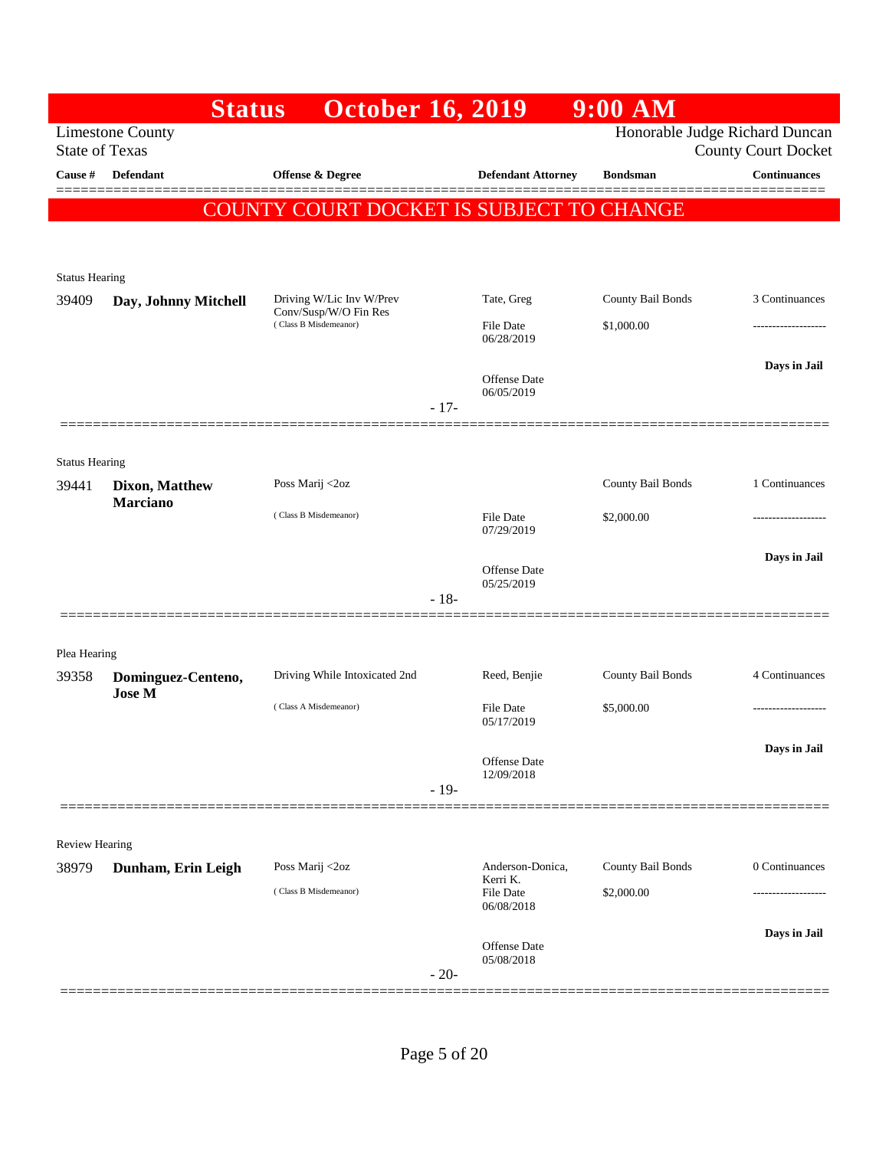|                                | <b>Status</b>           | <b>October 16, 2019</b>                        |                                | $9:00$ AM         |                                                              |
|--------------------------------|-------------------------|------------------------------------------------|--------------------------------|-------------------|--------------------------------------------------------------|
| <b>State of Texas</b>          | <b>Limestone County</b> |                                                |                                |                   | Honorable Judge Richard Duncan<br><b>County Court Docket</b> |
| Cause #                        | <b>Defendant</b>        | Offense & Degree                               | <b>Defendant Attorney</b>      | <b>Bondsman</b>   | <b>Continuances</b>                                          |
|                                |                         | COUNTY COURT DOCKET IS SUBJECT TO CHANGE       |                                |                   |                                                              |
|                                |                         |                                                |                                |                   |                                                              |
| <b>Status Hearing</b>          |                         |                                                |                                |                   |                                                              |
| 39409                          | Day, Johnny Mitchell    | Driving W/Lic Inv W/Prev                       | Tate, Greg                     | County Bail Bonds | 3 Continuances                                               |
|                                |                         | Conv/Susp/W/O Fin Res<br>(Class B Misdemeanor) | <b>File Date</b><br>06/28/2019 | \$1,000.00        |                                                              |
|                                |                         |                                                | <b>Offense Date</b>            |                   | Days in Jail                                                 |
|                                |                         |                                                | 06/05/2019<br>$-17-$           |                   |                                                              |
|                                |                         |                                                |                                |                   |                                                              |
| <b>Status Hearing</b><br>39441 | Dixon, Matthew          | Poss Marij <2oz                                |                                | County Bail Bonds | 1 Continuances                                               |
|                                | <b>Marciano</b>         | (Class B Misdemeanor)                          | <b>File Date</b><br>07/29/2019 | \$2,000.00        |                                                              |
|                                |                         |                                                | <b>Offense Date</b>            |                   | Days in Jail                                                 |
|                                |                         |                                                | 05/25/2019<br>$-18-$           |                   |                                                              |
|                                |                         |                                                |                                |                   |                                                              |
| Plea Hearing<br>39358          | Dominguez-Centeno,      | Driving While Intoxicated 2nd                  | Reed, Benjie                   | County Bail Bonds | 4 Continuances                                               |
|                                | <b>Jose M</b>           | (Class A Misdemeanor)                          | <b>File Date</b>               | \$5,000.00        |                                                              |
|                                |                         |                                                | 05/17/2019                     |                   |                                                              |
|                                |                         |                                                | Offense Date<br>12/09/2018     |                   | Days in Jail                                                 |
|                                |                         |                                                | $-19-$                         |                   |                                                              |
| Review Hearing                 |                         |                                                |                                |                   |                                                              |
| 38979                          | Dunham, Erin Leigh      | Poss Marij <2oz                                | Anderson-Donica,<br>Kerri K.   | County Bail Bonds | 0 Continuances                                               |
|                                |                         | (Class B Misdemeanor)                          | File Date<br>06/08/2018        | \$2,000.00        |                                                              |
|                                |                         |                                                | Offense Date                   |                   | Days in Jail                                                 |
|                                |                         |                                                | 05/08/2018<br>$-20-$           |                   |                                                              |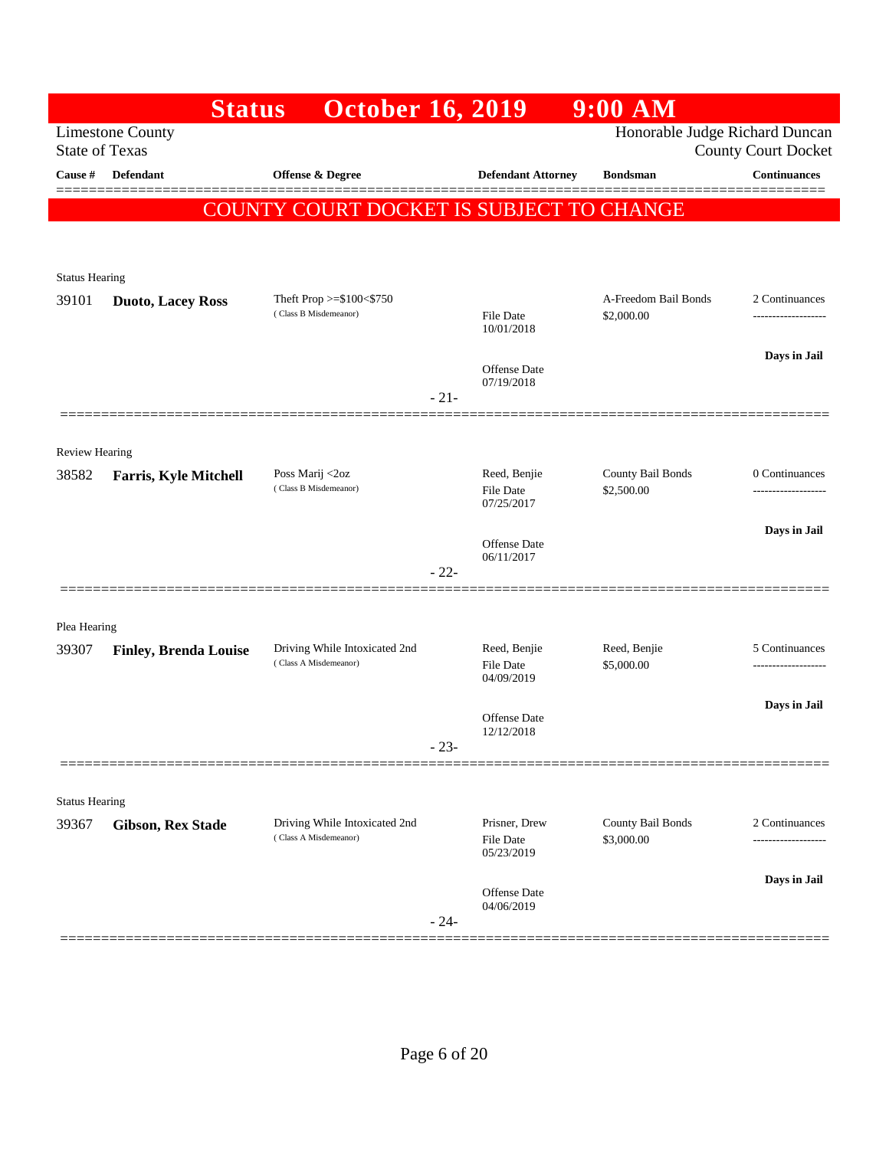|                       | <b>Status</b>                                    | <b>October 16, 2019</b>                  |                                   | $9:00$ AM                       |                                      |
|-----------------------|--------------------------------------------------|------------------------------------------|-----------------------------------|---------------------------------|--------------------------------------|
|                       | <b>Limestone County</b><br><b>State of Texas</b> |                                          |                                   | Honorable Judge Richard Duncan  | <b>County Court Docket</b>           |
| Cause #               | <b>Defendant</b>                                 | Offense & Degree                         | <b>Defendant Attorney</b>         | <b>Bondsman</b>                 | <b>Continuances</b>                  |
|                       |                                                  | COUNTY COURT DOCKET IS SUBJECT TO CHANGE |                                   |                                 |                                      |
|                       |                                                  |                                          |                                   |                                 |                                      |
| <b>Status Hearing</b> |                                                  |                                          |                                   |                                 |                                      |
| 39101                 | <b>Duoto, Lacey Ross</b>                         | Theft Prop >=\$100<\$750                 |                                   | A-Freedom Bail Bonds            | 2 Continuances                       |
|                       |                                                  | (Class B Misdemeanor)                    | File Date<br>10/01/2018           | \$2,000.00                      | ------------------                   |
|                       |                                                  |                                          | <b>Offense Date</b>               |                                 | Days in Jail                         |
|                       |                                                  |                                          | 07/19/2018<br>$-21-$              |                                 |                                      |
|                       |                                                  |                                          |                                   |                                 |                                      |
| Review Hearing        |                                                  |                                          |                                   |                                 |                                      |
| 38582                 | <b>Farris, Kyle Mitchell</b>                     | Poss Marij <2oz<br>(Class B Misdemeanor) | Reed, Benjie<br><b>File Date</b>  | County Bail Bonds<br>\$2,500.00 | 0 Continuances<br>------------------ |
|                       |                                                  |                                          | 07/25/2017                        |                                 |                                      |
|                       |                                                  |                                          | <b>Offense Date</b><br>06/11/2017 |                                 | Days in Jail                         |
|                       |                                                  |                                          | $-22-$                            |                                 |                                      |
|                       |                                                  |                                          |                                   |                                 |                                      |
| Plea Hearing<br>39307 | <b>Finley, Brenda Louise</b>                     | Driving While Intoxicated 2nd            | Reed, Benjie                      | Reed, Benjie                    | 5 Continuances                       |
|                       |                                                  | (Class A Misdemeanor)                    | File Date<br>04/09/2019           | \$5,000.00                      | -----------------                    |
|                       |                                                  |                                          |                                   |                                 | Days in Jail                         |
|                       |                                                  |                                          | Offense Date<br>12/12/2018        |                                 |                                      |
|                       |                                                  |                                          | $23-$                             |                                 |                                      |
| <b>Status Hearing</b> |                                                  |                                          |                                   |                                 |                                      |
| 39367                 | <b>Gibson, Rex Stade</b>                         | Driving While Intoxicated 2nd            | Prisner, Drew                     | County Bail Bonds               | 2 Continuances                       |
|                       |                                                  | (Class A Misdemeanor)                    | File Date<br>05/23/2019           | \$3,000.00                      |                                      |
|                       |                                                  |                                          | Offense Date                      |                                 | Days in Jail                         |
|                       |                                                  | $-24-$                                   | 04/06/2019                        |                                 |                                      |
|                       |                                                  |                                          |                                   |                                 |                                      |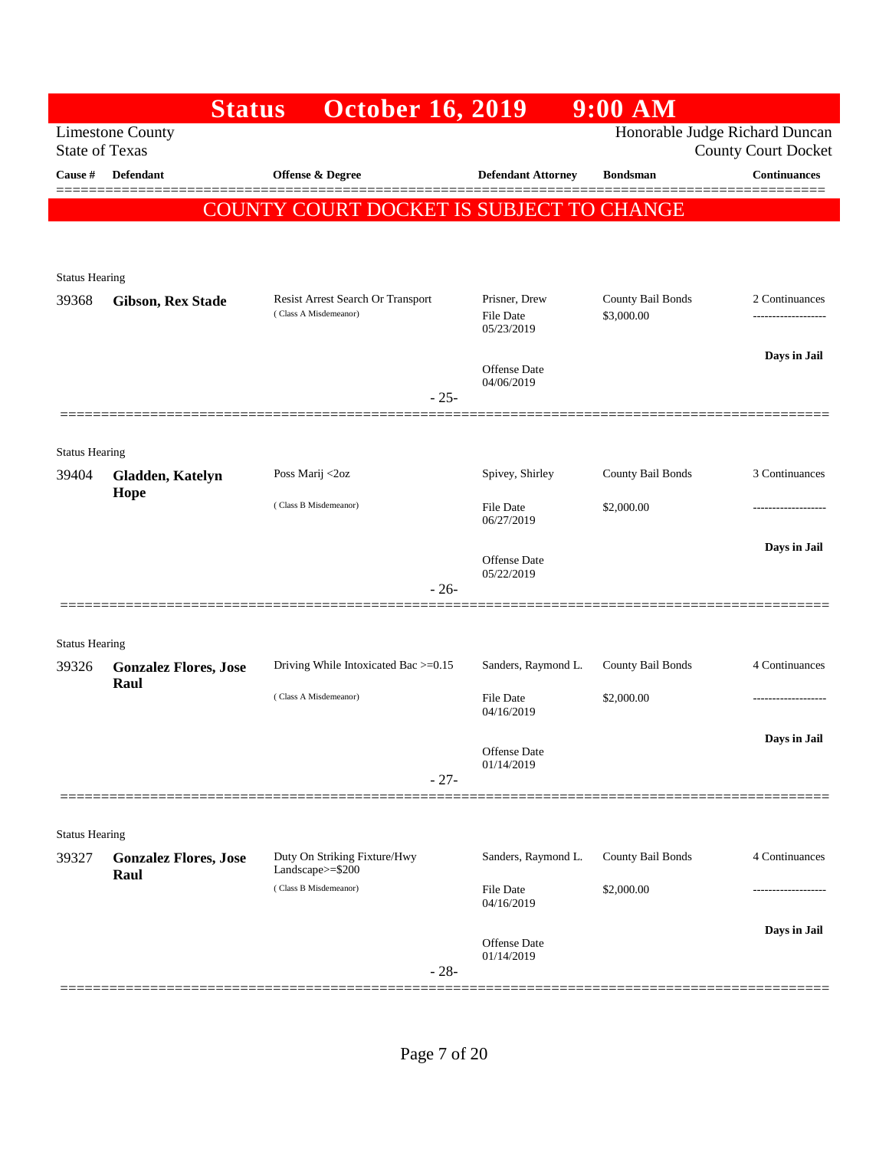|                                | <b>Status</b>                                    | <b>October 16, 2019</b>                          |                                | $9:00$ AM         |                                                              |
|--------------------------------|--------------------------------------------------|--------------------------------------------------|--------------------------------|-------------------|--------------------------------------------------------------|
|                                | <b>Limestone County</b><br><b>State of Texas</b> |                                                  |                                |                   | Honorable Judge Richard Duncan<br><b>County Court Docket</b> |
| Cause #                        | <b>Defendant</b>                                 | Offense & Degree                                 | <b>Defendant Attorney</b>      | <b>Bondsman</b>   | <b>Continuances</b>                                          |
|                                |                                                  | COUNTY COURT DOCKET IS SUBJECT TO CHANGE         |                                |                   |                                                              |
|                                |                                                  |                                                  |                                |                   |                                                              |
|                                |                                                  |                                                  |                                |                   |                                                              |
| <b>Status Hearing</b><br>39368 |                                                  | Resist Arrest Search Or Transport                | Prisner, Drew                  | County Bail Bonds | 2 Continuances                                               |
|                                | <b>Gibson, Rex Stade</b>                         | (Class A Misdemeanor)                            | <b>File Date</b><br>05/23/2019 | \$3,000.00        | ------------------                                           |
|                                |                                                  |                                                  | <b>Offense Date</b>            |                   | Days in Jail                                                 |
|                                |                                                  | $-25-$                                           | 04/06/2019                     |                   |                                                              |
|                                |                                                  |                                                  |                                |                   |                                                              |
| <b>Status Hearing</b>          |                                                  |                                                  |                                |                   |                                                              |
| 39404                          | Gladden, Katelyn<br>Hope                         | Poss Marij <2oz                                  | Spivey, Shirley                | County Bail Bonds | 3 Continuances                                               |
|                                |                                                  | (Class B Misdemeanor)                            | <b>File Date</b><br>06/27/2019 | \$2,000.00        | -----------------                                            |
|                                |                                                  |                                                  | <b>Offense Date</b>            |                   | Days in Jail                                                 |
|                                |                                                  | $-26-$                                           | 05/22/2019                     |                   |                                                              |
|                                |                                                  |                                                  |                                |                   |                                                              |
| <b>Status Hearing</b>          |                                                  |                                                  |                                |                   |                                                              |
| 39326                          | <b>Gonzalez Flores, Jose</b><br>Raul             | Driving While Intoxicated Bac >=0.15             | Sanders, Raymond L.            | County Bail Bonds | 4 Continuances                                               |
|                                |                                                  | (Class A Misdemeanor)                            | <b>File Date</b><br>04/16/2019 | \$2,000.00        |                                                              |
|                                |                                                  |                                                  | Offense Date                   |                   | Days in Jail                                                 |
|                                |                                                  | $-27-$                                           | 01/14/2019                     |                   |                                                              |
|                                |                                                  |                                                  |                                |                   |                                                              |
| <b>Status Hearing</b>          |                                                  |                                                  |                                |                   |                                                              |
| 39327                          | <b>Gonzalez Flores, Jose</b><br>Raul             | Duty On Striking Fixture/Hwy<br>Landscape>=\$200 | Sanders, Raymond L.            | County Bail Bonds | 4 Continuances                                               |
|                                |                                                  | (Class B Misdemeanor)                            | <b>File Date</b><br>04/16/2019 | \$2,000.00        |                                                              |
|                                |                                                  |                                                  |                                |                   | Days in Jail                                                 |
|                                |                                                  |                                                  | Offense Date<br>01/14/2019     |                   |                                                              |
|                                |                                                  | $-28-$                                           |                                |                   |                                                              |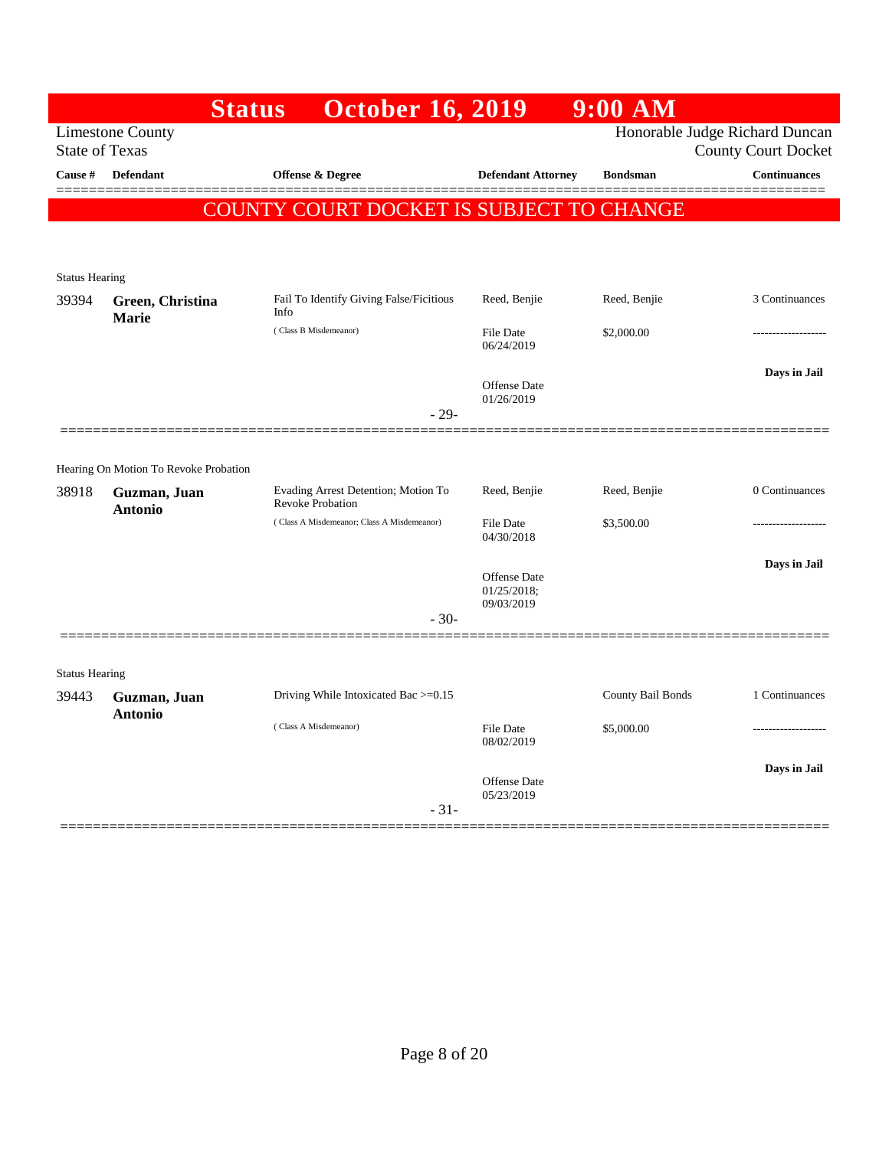|                       | <b>Status</b>                                         | <b>October 16, 2019</b>                    |                                | $9:00$ $\overline{AM}$ |                                |
|-----------------------|-------------------------------------------------------|--------------------------------------------|--------------------------------|------------------------|--------------------------------|
|                       | <b>Limestone County</b>                               |                                            |                                |                        | Honorable Judge Richard Duncan |
| <b>State of Texas</b> |                                                       |                                            |                                |                        | <b>County Court Docket</b>     |
| Cause #               | <b>Defendant</b>                                      | <b>Offense &amp; Degree</b>                | <b>Defendant Attorney</b>      | <b>Bondsman</b>        | <b>Continuances</b>            |
|                       |                                                       | COUNTY COURT DOCKET IS SUBJECT TO CHANGE   |                                |                        |                                |
|                       |                                                       |                                            |                                |                        |                                |
|                       |                                                       |                                            |                                |                        |                                |
| <b>Status Hearing</b> |                                                       | Fail To Identify Giving False/Ficitious    | Reed, Benjie                   | Reed, Benjie           | 3 Continuances                 |
| 39394                 | Green, Christina<br><b>Marie</b>                      | Info                                       |                                |                        |                                |
|                       |                                                       | (Class B Misdemeanor)                      | <b>File Date</b><br>06/24/2019 | \$2,000.00             |                                |
|                       |                                                       |                                            |                                |                        |                                |
|                       |                                                       |                                            | <b>Offense Date</b>            |                        | Days in Jail                   |
|                       |                                                       | $-29-$                                     | 01/26/2019                     |                        |                                |
|                       |                                                       |                                            |                                |                        |                                |
|                       |                                                       |                                            |                                |                        |                                |
| 38918                 | Hearing On Motion To Revoke Probation<br>Guzman, Juan | Evading Arrest Detention; Motion To        | Reed, Benjie                   | Reed, Benjie           | 0 Continuances                 |
|                       | <b>Antonio</b>                                        | <b>Revoke Probation</b>                    |                                |                        |                                |
|                       |                                                       | (Class A Misdemeanor; Class A Misdemeanor) | <b>File Date</b><br>04/30/2018 | \$3,500.00             |                                |
|                       |                                                       |                                            |                                |                        | Days in Jail                   |
|                       |                                                       |                                            | <b>Offense Date</b>            |                        |                                |
|                       |                                                       |                                            | 01/25/2018;<br>09/03/2019      |                        |                                |
|                       |                                                       | $-30-$                                     |                                |                        |                                |
|                       |                                                       |                                            |                                |                        |                                |
| <b>Status Hearing</b> |                                                       |                                            |                                |                        |                                |
| 39443                 | Guzman, Juan                                          | Driving While Intoxicated Bac >=0.15       |                                | County Bail Bonds      | 1 Continuances                 |
|                       | <b>Antonio</b>                                        | (Class A Misdemeanor)                      | File Date                      | \$5,000.00             |                                |
|                       |                                                       |                                            | 08/02/2019                     |                        |                                |
|                       |                                                       |                                            | <b>Offense Date</b>            |                        | Days in Jail                   |
|                       |                                                       |                                            | 05/23/2019                     |                        |                                |
|                       |                                                       | $-31-$                                     |                                |                        |                                |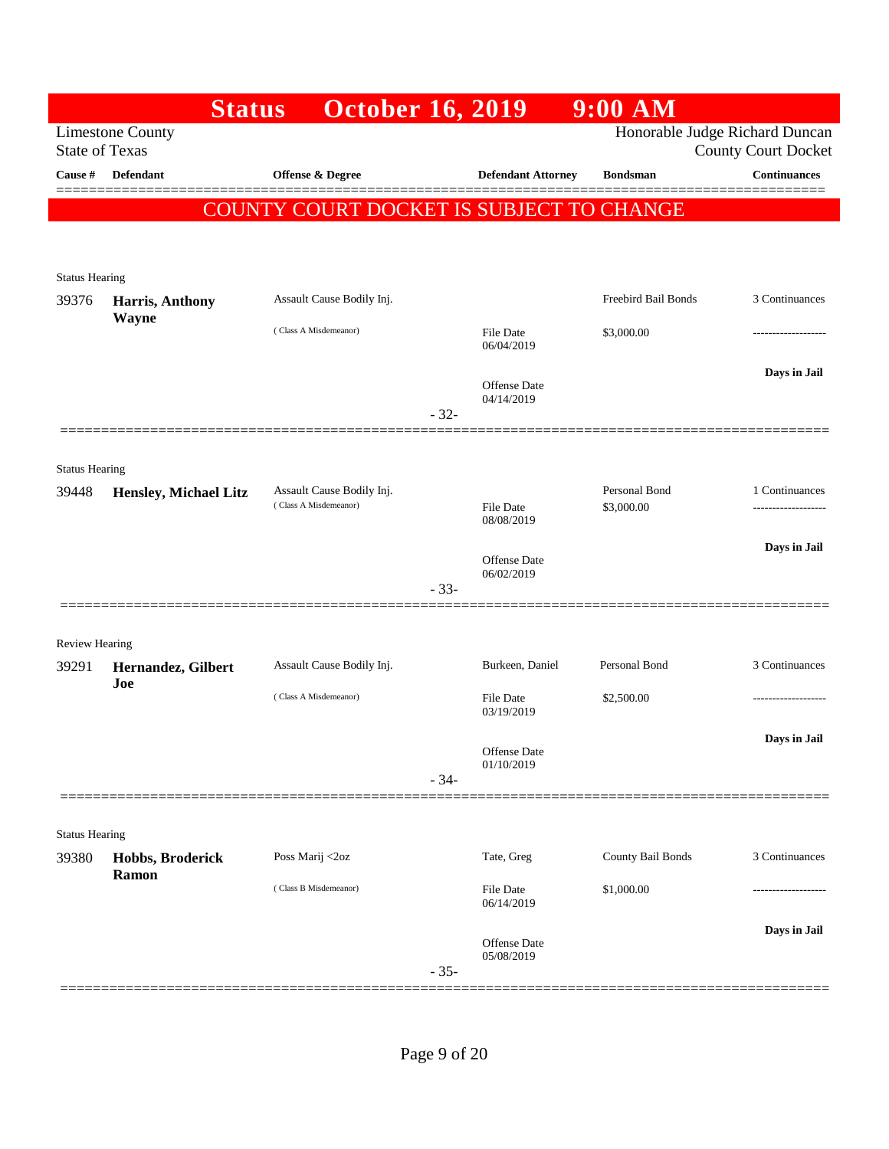| <b>Limestone County</b>      |                                                                                           |                                                                                    |                                |                                                                                                                                  | Honorable Judge Richard Duncan<br><b>County Court Docket</b>                                           |
|------------------------------|-------------------------------------------------------------------------------------------|------------------------------------------------------------------------------------|--------------------------------|----------------------------------------------------------------------------------------------------------------------------------|--------------------------------------------------------------------------------------------------------|
| <b>Defendant</b>             | Offense & Degree                                                                          |                                                                                    | <b>Defendant Attorney</b>      | <b>Bondsman</b>                                                                                                                  | <b>Continuances</b>                                                                                    |
|                              |                                                                                           |                                                                                    |                                |                                                                                                                                  |                                                                                                        |
|                              |                                                                                           |                                                                                    |                                |                                                                                                                                  |                                                                                                        |
| <b>Status Hearing</b>        |                                                                                           |                                                                                    |                                |                                                                                                                                  |                                                                                                        |
| Harris, Anthony              | Assault Cause Bodily Inj.                                                                 |                                                                                    |                                | Freebird Bail Bonds                                                                                                              | 3 Continuances                                                                                         |
|                              | (Class A Misdemeanor)                                                                     |                                                                                    | <b>File Date</b><br>06/04/2019 | \$3,000.00                                                                                                                       |                                                                                                        |
|                              |                                                                                           |                                                                                    | <b>Offense Date</b>            |                                                                                                                                  | Days in Jail                                                                                           |
|                              |                                                                                           | $-32-$                                                                             |                                |                                                                                                                                  |                                                                                                        |
|                              |                                                                                           |                                                                                    |                                |                                                                                                                                  |                                                                                                        |
| <b>Hensley, Michael Litz</b> | Assault Cause Bodily Inj.                                                                 |                                                                                    |                                | Personal Bond                                                                                                                    | 1 Continuances<br>------------------                                                                   |
|                              |                                                                                           |                                                                                    | 08/08/2019                     |                                                                                                                                  |                                                                                                        |
|                              |                                                                                           |                                                                                    | <b>Offense Date</b>            |                                                                                                                                  | Days in Jail                                                                                           |
|                              |                                                                                           | $-33-$                                                                             |                                |                                                                                                                                  |                                                                                                        |
| <b>Review Hearing</b>        |                                                                                           |                                                                                    |                                |                                                                                                                                  |                                                                                                        |
| Hernandez, Gilbert           | Assault Cause Bodily Inj.                                                                 |                                                                                    | Burkeen, Daniel                | Personal Bond                                                                                                                    | 3 Continuances                                                                                         |
|                              | (Class A Misdemeanor)                                                                     |                                                                                    | File Date<br>03/19/2019        | \$2,500.00                                                                                                                       | -------------------                                                                                    |
|                              |                                                                                           |                                                                                    |                                |                                                                                                                                  | Days in Jail                                                                                           |
|                              |                                                                                           | $-34-$                                                                             | 01/10/2019                     |                                                                                                                                  |                                                                                                        |
|                              |                                                                                           |                                                                                    |                                |                                                                                                                                  |                                                                                                        |
| <b>Status Hearing</b>        |                                                                                           |                                                                                    |                                |                                                                                                                                  |                                                                                                        |
| Ramon                        |                                                                                           |                                                                                    |                                |                                                                                                                                  | 3 Continuances                                                                                         |
|                              |                                                                                           |                                                                                    | 06/14/2019                     |                                                                                                                                  |                                                                                                        |
|                              |                                                                                           |                                                                                    | Offense Date                   |                                                                                                                                  | Days in Jail                                                                                           |
|                              |                                                                                           | $-35-$                                                                             |                                |                                                                                                                                  |                                                                                                        |
|                              | <b>State of Texas</b><br><b>Wayne</b><br><b>Status Hearing</b><br>Joe<br>Hobbs, Broderick | <b>Status</b><br>(Class A Misdemeanor)<br>Poss Marij <2oz<br>(Class B Misdemeanor) |                                | <b>October 16, 2019</b><br>04/14/2019<br><b>File Date</b><br>06/02/2019<br>Offense Date<br>Tate, Greg<br>File Date<br>05/08/2019 | $9:00$ AM<br>COUNTY COURT DOCKET IS SUBJECT TO CHANGE<br>\$3,000.00<br>County Bail Bonds<br>\$1,000.00 |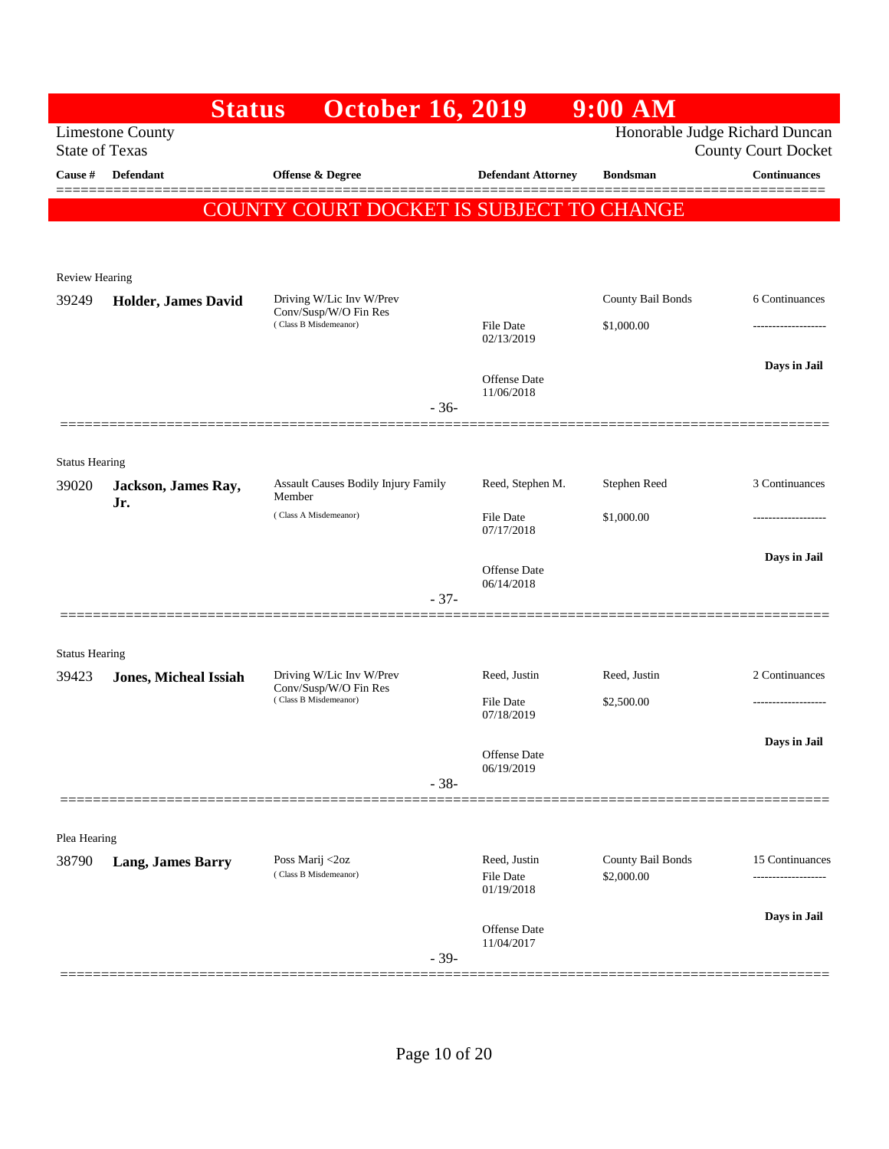|                       |                              | <b>October 16, 2019</b><br><b>Status</b>             |        |                                   | $9:00$ AM                       |                                                              |
|-----------------------|------------------------------|------------------------------------------------------|--------|-----------------------------------|---------------------------------|--------------------------------------------------------------|
| <b>State of Texas</b> | <b>Limestone County</b>      |                                                      |        |                                   |                                 | Honorable Judge Richard Duncan<br><b>County Court Docket</b> |
| Cause #               | Defendant                    | Offense & Degree                                     |        | <b>Defendant Attorney</b>         | <b>Bondsman</b>                 | <b>Continuances</b>                                          |
|                       |                              | COUNTY COURT DOCKET IS SUBJECT TO CHANGE             |        |                                   |                                 |                                                              |
|                       |                              |                                                      |        |                                   |                                 |                                                              |
| <b>Review Hearing</b> |                              |                                                      |        |                                   |                                 |                                                              |
| 39249                 | <b>Holder, James David</b>   | Driving W/Lic Inv W/Prev<br>Conv/Susp/W/O Fin Res    |        |                                   | County Bail Bonds               | 6 Continuances                                               |
|                       |                              | (Class B Misdemeanor)                                |        | File Date<br>02/13/2019           | \$1,000.00                      |                                                              |
|                       |                              |                                                      |        |                                   |                                 | Days in Jail                                                 |
|                       |                              |                                                      | $-36-$ | <b>Offense Date</b><br>11/06/2018 |                                 |                                                              |
|                       |                              |                                                      |        |                                   |                                 |                                                              |
| <b>Status Hearing</b> |                              |                                                      |        |                                   |                                 |                                                              |
| 39020                 | Jackson, James Ray,<br>Jr.   | <b>Assault Causes Bodily Injury Family</b><br>Member |        | Reed, Stephen M.                  | Stephen Reed                    | 3 Continuances                                               |
|                       |                              | (Class A Misdemeanor)                                |        | File Date<br>07/17/2018           | \$1,000.00                      | ------------------                                           |
|                       |                              |                                                      |        |                                   |                                 | Days in Jail                                                 |
|                       |                              |                                                      |        | <b>Offense Date</b><br>06/14/2018 |                                 |                                                              |
|                       |                              |                                                      | $-37-$ |                                   |                                 |                                                              |
| <b>Status Hearing</b> |                              |                                                      |        |                                   |                                 |                                                              |
| 39423                 | <b>Jones, Micheal Issiah</b> | Driving W/Lic Inv W/Prev<br>Conv/Susp/W/O Fin Res    |        | Reed, Justin                      | Reed, Justin                    | 2 Continuances                                               |
|                       |                              | (Class B Misdemeanor)                                |        | File Date<br>07/18/2019           | \$2,500.00                      |                                                              |
|                       |                              |                                                      |        |                                   |                                 | Days in Jail                                                 |
|                       |                              |                                                      | $-38-$ | Offense Date<br>06/19/2019        |                                 |                                                              |
|                       |                              |                                                      |        |                                   |                                 |                                                              |
| Plea Hearing          |                              |                                                      |        |                                   |                                 |                                                              |
| 38790                 | <b>Lang, James Barry</b>     | Poss Marij <2oz<br>(Class B Misdemeanor)             |        | Reed, Justin<br>File Date         | County Bail Bonds<br>\$2,000.00 | 15 Continuances<br>------------------                        |
|                       |                              |                                                      |        | 01/19/2018                        |                                 |                                                              |
|                       |                              |                                                      |        | Offense Date                      |                                 | Days in Jail                                                 |
|                       |                              |                                                      | $-39-$ | 11/04/2017                        |                                 |                                                              |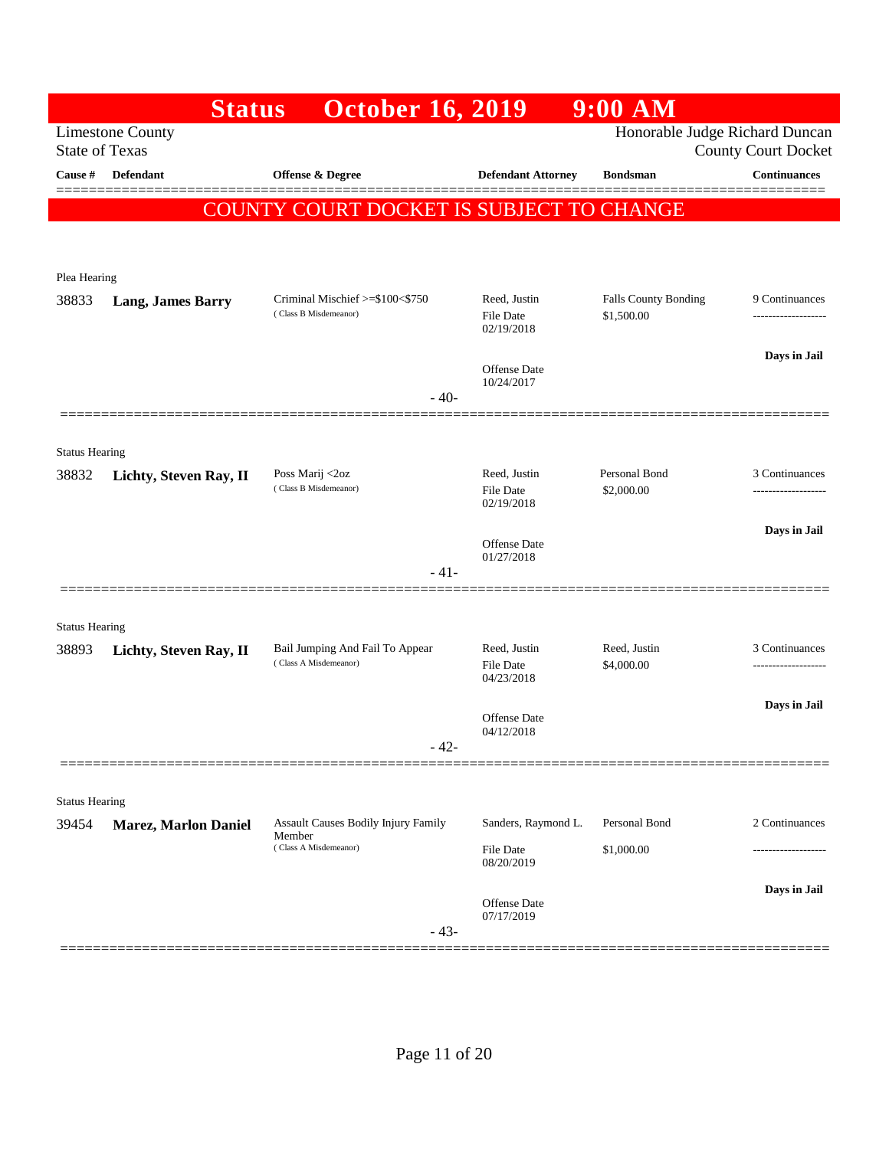|                       | <b>Status</b>                                    | <b>October 16, 2019</b>                                  |                                                | $9:00$ AM                      |                                       |
|-----------------------|--------------------------------------------------|----------------------------------------------------------|------------------------------------------------|--------------------------------|---------------------------------------|
|                       | <b>Limestone County</b><br><b>State of Texas</b> |                                                          |                                                | Honorable Judge Richard Duncan | <b>County Court Docket</b>            |
| Cause #               | Defendant                                        | Offense & Degree                                         | <b>Defendant Attorney</b>                      | <b>Bondsman</b>                | <b>Continuances</b>                   |
|                       |                                                  | COUNTY COURT DOCKET IS SUBJECT TO CHANGE                 |                                                |                                |                                       |
|                       |                                                  |                                                          |                                                |                                |                                       |
|                       |                                                  |                                                          |                                                |                                |                                       |
| Plea Hearing          |                                                  | Criminal Mischief >=\$100<\$750                          | Reed, Justin                                   | <b>Falls County Bonding</b>    | 9 Continuances                        |
| 38833                 | <b>Lang, James Barry</b>                         | (Class B Misdemeanor)                                    | <b>File Date</b><br>02/19/2018                 | \$1,500.00                     | -----------------                     |
|                       |                                                  |                                                          | Offense Date<br>10/24/2017                     |                                | Days in Jail                          |
|                       |                                                  | $-40-$                                                   |                                                |                                |                                       |
|                       |                                                  |                                                          |                                                |                                |                                       |
| <b>Status Hearing</b> |                                                  |                                                          |                                                |                                |                                       |
| 38832                 | Lichty, Steven Ray, II                           | Poss Marij <2oz<br>(Class B Misdemeanor)                 | Reed, Justin<br><b>File Date</b><br>02/19/2018 | Personal Bond<br>\$2,000.00    | 3 Continuances<br>------------------  |
|                       |                                                  |                                                          | <b>Offense Date</b>                            |                                | Days in Jail                          |
|                       |                                                  | - 41-                                                    | 01/27/2018                                     |                                |                                       |
|                       | ===============                                  |                                                          |                                                |                                |                                       |
| <b>Status Hearing</b> |                                                  |                                                          |                                                |                                |                                       |
| 38893                 | Lichty, Steven Ray, II                           | Bail Jumping And Fail To Appear<br>(Class A Misdemeanor) | Reed, Justin<br><b>File Date</b>               | Reed, Justin<br>\$4,000.00     | 3 Continuances<br>------------------- |
|                       |                                                  |                                                          | 04/23/2018                                     |                                |                                       |
|                       |                                                  |                                                          | <b>Offense</b> Date                            |                                | Days in Jail                          |
|                       |                                                  | - 42-                                                    | 04/12/2018                                     |                                |                                       |
|                       |                                                  |                                                          |                                                |                                |                                       |
| <b>Status Hearing</b> |                                                  |                                                          |                                                |                                |                                       |
| 39454                 | <b>Marez, Marlon Daniel</b>                      | <b>Assault Causes Bodily Injury Family</b><br>Member     | Sanders, Raymond L.                            | Personal Bond                  | 2 Continuances                        |
|                       |                                                  | (Class A Misdemeanor)                                    | File Date<br>08/20/2019                        | \$1,000.00                     | .                                     |
|                       |                                                  |                                                          |                                                |                                | Days in Jail                          |
|                       |                                                  | $-43-$                                                   | Offense Date<br>07/17/2019                     |                                |                                       |
|                       |                                                  |                                                          |                                                |                                |                                       |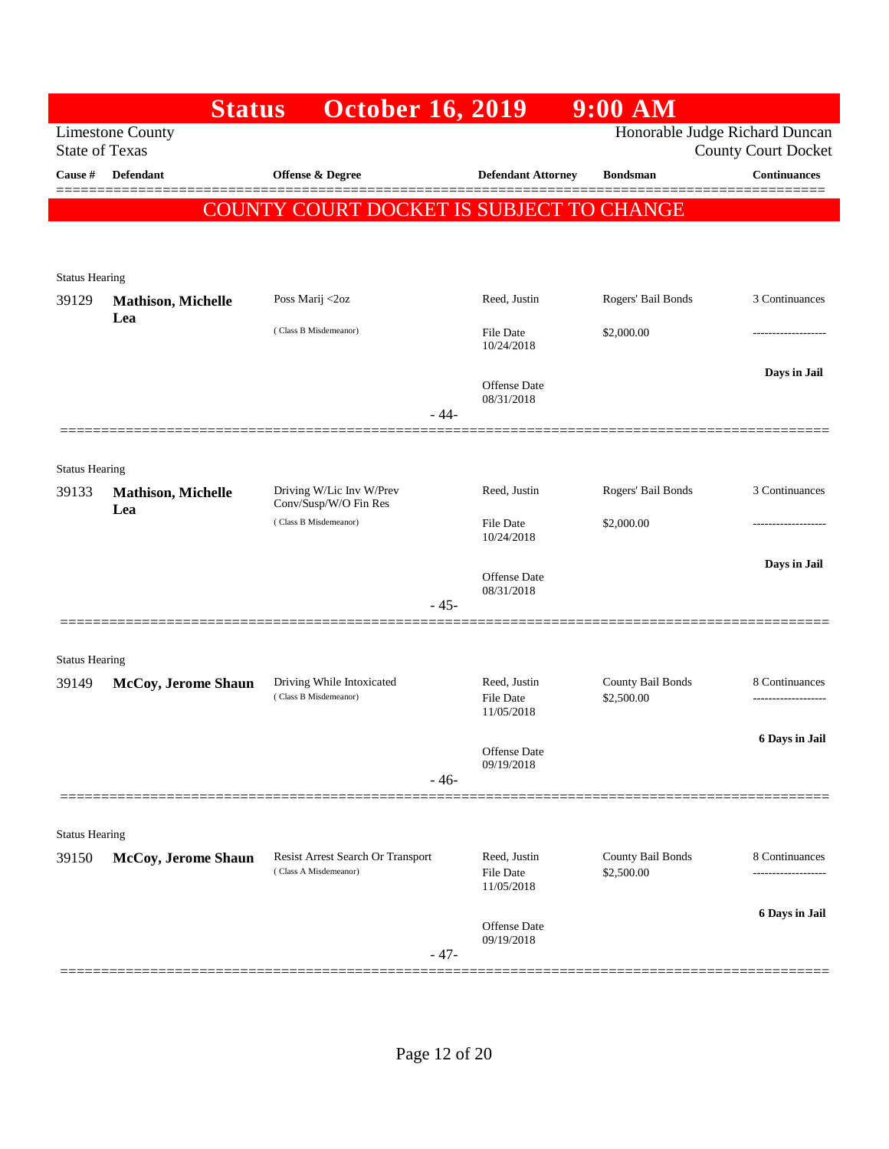|                                | <b>Status</b>                    | <b>October 16, 2019</b>                            |                                   | $9:00$ AM                       |                            |
|--------------------------------|----------------------------------|----------------------------------------------------|-----------------------------------|---------------------------------|----------------------------|
| <b>State of Texas</b>          | <b>Limestone County</b>          |                                                    |                                   | Honorable Judge Richard Duncan  | <b>County Court Docket</b> |
| Cause #                        | Defendant                        | <b>Offense &amp; Degree</b>                        | <b>Defendant Attorney</b>         | <b>Bondsman</b>                 | <b>Continuances</b>        |
|                                |                                  | COUNTY COURT DOCKET IS SUBJECT TO CHANGE           |                                   |                                 |                            |
|                                |                                  |                                                    |                                   |                                 |                            |
| <b>Status Hearing</b>          |                                  |                                                    |                                   |                                 |                            |
| 39129                          | <b>Mathison, Michelle</b>        | Poss Marij <2oz                                    | Reed, Justin                      | Rogers' Bail Bonds              | 3 Continuances             |
|                                | Lea                              | (Class B Misdemeanor)                              | File Date<br>10/24/2018           | \$2,000.00                      |                            |
|                                |                                  | - 44-                                              | Offense Date<br>08/31/2018        |                                 | Days in Jail               |
|                                |                                  |                                                    |                                   |                                 |                            |
| <b>Status Hearing</b>          |                                  |                                                    |                                   |                                 |                            |
| 39133                          | <b>Mathison, Michelle</b><br>Lea | Driving W/Lic Inv W/Prev<br>Conv/Susp/W/O Fin Res  | Reed, Justin                      | Rogers' Bail Bonds              | 3 Continuances             |
|                                |                                  | (Class B Misdemeanor)                              | <b>File Date</b><br>10/24/2018    | \$2,000.00                      |                            |
|                                |                                  |                                                    | Offense Date                      |                                 | Days in Jail               |
|                                |                                  | $-45-$                                             | 08/31/2018                        |                                 |                            |
|                                |                                  |                                                    |                                   |                                 |                            |
| <b>Status Hearing</b>          |                                  |                                                    |                                   |                                 |                            |
| 39149                          | McCoy, Jerome Shaun              | Driving While Intoxicated<br>(Class B Misdemeanor) | Reed, Justin<br><b>File Date</b>  | County Bail Bonds<br>\$2,500.00 | 8 Continuances             |
|                                |                                  |                                                    | 11/05/2018                        |                                 |                            |
|                                |                                  |                                                    | Offense Date<br>09/19/2018        |                                 | 6 Days in Jail             |
|                                |                                  | $-46-$                                             |                                   |                                 |                            |
|                                |                                  |                                                    |                                   |                                 |                            |
| <b>Status Hearing</b><br>39150 | McCoy, Jerome Shaun              | Resist Arrest Search Or Transport                  | Reed, Justin                      | County Bail Bonds               | 8 Continuances             |
|                                |                                  | (Class A Misdemeanor)                              | <b>File Date</b><br>11/05/2018    | \$2,500.00                      | .                          |
|                                |                                  |                                                    | <b>Offense Date</b><br>09/19/2018 |                                 | 6 Days in Jail             |
|                                |                                  | $-47-$                                             |                                   |                                 |                            |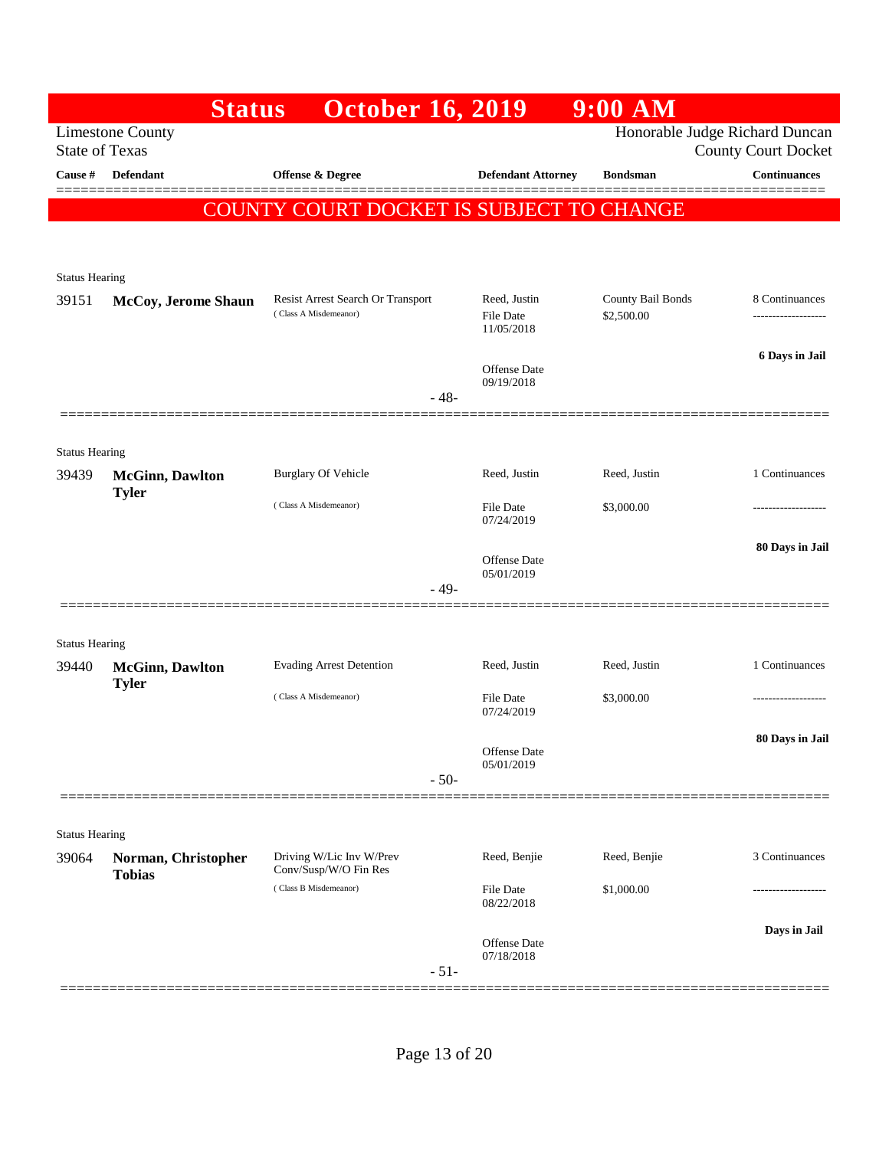|                                | <b>Status</b>                           | <b>October 16, 2019</b>                                    |                                         | $9:00$ AM                       |                                                              |
|--------------------------------|-----------------------------------------|------------------------------------------------------------|-----------------------------------------|---------------------------------|--------------------------------------------------------------|
| <b>State of Texas</b>          | <b>Limestone County</b>                 |                                                            |                                         |                                 | Honorable Judge Richard Duncan<br><b>County Court Docket</b> |
| Cause #                        | <b>Defendant</b>                        | Offense & Degree                                           | <b>Defendant Attorney</b>               | <b>Bondsman</b>                 | <b>Continuances</b>                                          |
|                                |                                         | COUNTY COURT DOCKET IS SUBJECT TO CHANGE                   |                                         |                                 |                                                              |
|                                |                                         |                                                            |                                         |                                 |                                                              |
| <b>Status Hearing</b>          |                                         |                                                            |                                         |                                 |                                                              |
| 39151                          | McCoy, Jerome Shaun                     | Resist Arrest Search Or Transport<br>(Class A Misdemeanor) | Reed, Justin<br>File Date<br>11/05/2018 | County Bail Bonds<br>\$2,500.00 | 8 Continuances<br>-------------------                        |
|                                |                                         |                                                            | <b>Offense Date</b><br>09/19/2018       |                                 | 6 Days in Jail                                               |
|                                |                                         | $-48-$                                                     |                                         |                                 |                                                              |
| <b>Status Hearing</b>          |                                         |                                                            |                                         |                                 |                                                              |
| 39439                          | <b>McGinn</b> , Dawlton<br><b>Tyler</b> | <b>Burglary Of Vehicle</b>                                 | Reed, Justin                            | Reed, Justin                    | 1 Continuances                                               |
|                                |                                         | (Class A Misdemeanor)                                      | <b>File Date</b><br>07/24/2019          | \$3,000.00                      | -----------------                                            |
|                                |                                         |                                                            | <b>Offense Date</b><br>05/01/2019       |                                 | 80 Days in Jail                                              |
|                                |                                         | $-49-$                                                     |                                         |                                 |                                                              |
| <b>Status Hearing</b>          |                                         |                                                            |                                         |                                 |                                                              |
| 39440                          | <b>McGinn</b> , Dawlton<br><b>Tyler</b> | <b>Evading Arrest Detention</b>                            | Reed, Justin                            | Reed, Justin                    | 1 Continuances                                               |
|                                |                                         | (Class A Misdemeanor)                                      | File Date<br>07/24/2019                 | \$3,000.00                      |                                                              |
|                                |                                         |                                                            | Offense Date                            |                                 | 80 Days in Jail                                              |
|                                |                                         | $-50-$                                                     | 05/01/2019                              |                                 |                                                              |
|                                |                                         |                                                            |                                         |                                 |                                                              |
| <b>Status Hearing</b><br>39064 | Norman, Christopher                     | Driving W/Lic Inv W/Prev                                   | Reed, Benjie                            | Reed, Benjie                    | 3 Continuances                                               |
|                                | <b>Tobias</b>                           | Conv/Susp/W/O Fin Res<br>(Class B Misdemeanor)             | <b>File Date</b>                        | \$1,000.00                      |                                                              |
|                                |                                         |                                                            | 08/22/2018                              |                                 | Days in Jail                                                 |
|                                |                                         | $-51-$                                                     | Offense Date<br>07/18/2018              |                                 |                                                              |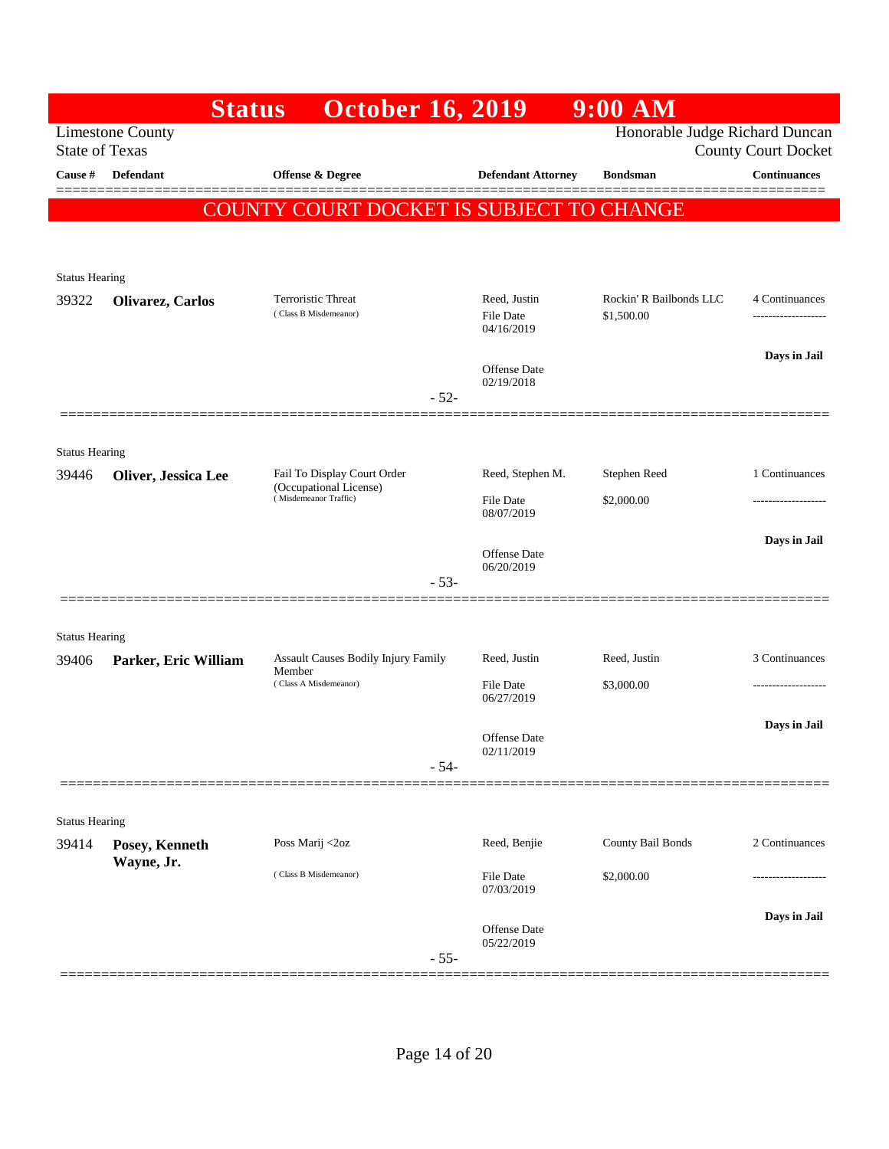|                                | <b>Status</b>                | <b>October 16, 2019</b>                         |                                                | $9:00$ AM                             |                                      |
|--------------------------------|------------------------------|-------------------------------------------------|------------------------------------------------|---------------------------------------|--------------------------------------|
| <b>State of Texas</b>          | <b>Limestone County</b>      |                                                 |                                                | Honorable Judge Richard Duncan        | <b>County Court Docket</b>           |
| Cause #                        | Defendant                    | Offense & Degree                                | <b>Defendant Attorney</b>                      | <b>Bondsman</b>                       | <b>Continuances</b>                  |
|                                |                              | COUNTY COURT DOCKET IS SUBJECT TO CHANGE        |                                                |                                       | ======                               |
|                                |                              |                                                 |                                                |                                       |                                      |
|                                |                              |                                                 |                                                |                                       |                                      |
| <b>Status Hearing</b>          |                              |                                                 |                                                |                                       |                                      |
| 39322                          | Olivarez, Carlos             | Terroristic Threat<br>(Class B Misdemeanor)     | Reed, Justin<br><b>File Date</b><br>04/16/2019 | Rockin' R Bailbonds LLC<br>\$1,500.00 | 4 Continuances<br>------------------ |
|                                |                              |                                                 | <b>Offense Date</b><br>02/19/2018              |                                       | Days in Jail                         |
|                                | =============                | $-52-$                                          |                                                |                                       |                                      |
|                                |                              |                                                 |                                                |                                       |                                      |
| <b>Status Hearing</b><br>39446 | Oliver, Jessica Lee          | Fail To Display Court Order                     | Reed, Stephen M.                               | Stephen Reed                          | 1 Continuances                       |
|                                |                              | (Occupational License)<br>(Misdemeanor Traffic) | File Date<br>08/07/2019                        | \$2,000.00                            |                                      |
|                                |                              | $-53-$                                          | Offense Date<br>06/20/2019                     |                                       | Days in Jail                         |
|                                |                              |                                                 |                                                |                                       |                                      |
| <b>Status Hearing</b>          |                              |                                                 |                                                |                                       |                                      |
| 39406                          | Parker, Eric William         | Assault Causes Bodily Injury Family<br>Member   | Reed, Justin                                   | Reed, Justin                          | 3 Continuances                       |
|                                |                              | (Class A Misdemeanor)                           | File Date<br>06/27/2019                        | \$3,000.00                            | ----------------                     |
|                                |                              |                                                 | Offense Date                                   |                                       | Days in Jail                         |
|                                |                              | $-54-$                                          | 02/11/2019                                     |                                       |                                      |
|                                |                              |                                                 |                                                |                                       |                                      |
| <b>Status Hearing</b>          |                              |                                                 |                                                |                                       |                                      |
| 39414                          | Posey, Kenneth<br>Wayne, Jr. | Poss Marij <2oz                                 | Reed, Benjie                                   | County Bail Bonds                     | 2 Continuances                       |
|                                |                              | (Class B Misdemeanor)                           | <b>File Date</b><br>07/03/2019                 | \$2,000.00                            |                                      |
|                                |                              |                                                 | Offense Date                                   |                                       | Days in Jail                         |
|                                |                              | $-55-$                                          | 05/22/2019                                     |                                       |                                      |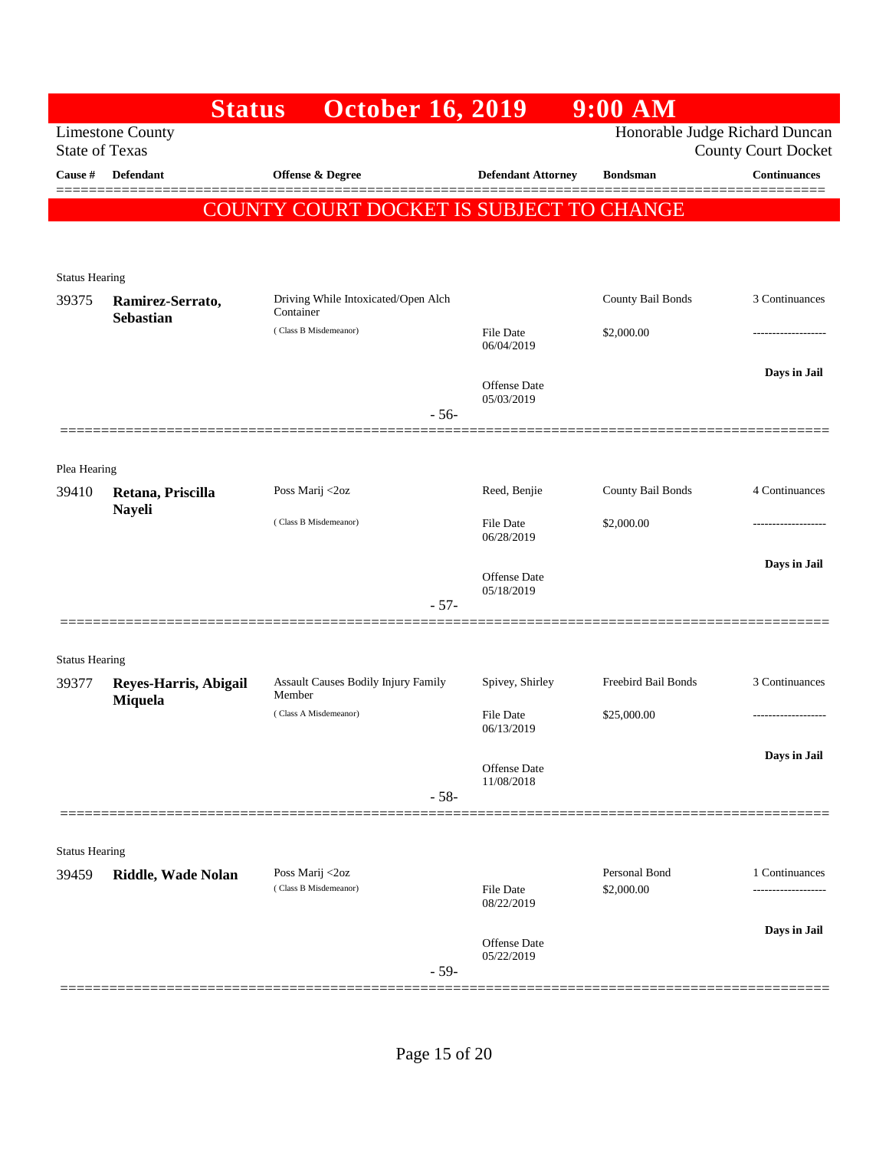|                       | <b>Status</b>                        | <b>October 16, 2019</b>                          |                                   | $9:00$ AM                      |                            |
|-----------------------|--------------------------------------|--------------------------------------------------|-----------------------------------|--------------------------------|----------------------------|
| <b>State of Texas</b> | <b>Limestone County</b>              |                                                  |                                   | Honorable Judge Richard Duncan | <b>County Court Docket</b> |
| Cause #               | <b>Defendant</b>                     | Offense & Degree                                 | <b>Defendant Attorney</b>         | <b>Bondsman</b>                | <b>Continuances</b>        |
|                       |                                      | COUNTY COURT DOCKET IS SUBJECT TO CHANGE         |                                   |                                |                            |
|                       |                                      |                                                  |                                   |                                |                            |
| <b>Status Hearing</b> |                                      |                                                  |                                   |                                |                            |
| 39375                 | Ramirez-Serrato,<br><b>Sebastian</b> | Driving While Intoxicated/Open Alch<br>Container |                                   | County Bail Bonds              | 3 Continuances             |
|                       |                                      | (Class B Misdemeanor)                            | File Date<br>06/04/2019           | \$2,000.00                     | ----------------           |
|                       |                                      |                                                  | Offense Date<br>05/03/2019        |                                | Days in Jail               |
|                       |                                      | $-56-$                                           |                                   |                                |                            |
|                       |                                      |                                                  |                                   |                                |                            |
| Plea Hearing<br>39410 | Retana, Priscilla<br><b>Nayeli</b>   | Poss Marij <2oz                                  | Reed, Benjie                      | County Bail Bonds              | 4 Continuances             |
|                       |                                      | (Class B Misdemeanor)                            | File Date<br>06/28/2019           | \$2,000.00                     | ---------------            |
|                       |                                      |                                                  | Offense Date                      |                                | Days in Jail               |
|                       |                                      | $-57-$                                           | 05/18/2019                        |                                |                            |
|                       |                                      |                                                  |                                   |                                |                            |
| <b>Status Hearing</b> |                                      |                                                  |                                   |                                |                            |
| 39377                 | Reyes-Harris, Abigail<br>Miquela     | Assault Causes Bodily Injury Family<br>Member    | Spivey, Shirley                   | Freebird Bail Bonds            | 3 Continuances             |
|                       |                                      | (Class A Misdemeanor)                            | <b>File Date</b><br>06/13/2019    | \$25,000.00                    | ------------------         |
|                       |                                      |                                                  | Offense Date                      |                                | Days in Jail               |
|                       |                                      | $-58-$                                           | 11/08/2018                        |                                |                            |
|                       |                                      |                                                  |                                   |                                |                            |
| <b>Status Hearing</b> |                                      |                                                  |                                   |                                |                            |
| 39459                 | Riddle, Wade Nolan                   | Poss Marij <2oz<br>(Class B Misdemeanor)         | <b>File Date</b><br>08/22/2019    | Personal Bond<br>\$2,000.00    | 1 Continuances             |
|                       |                                      |                                                  |                                   |                                | Days in Jail               |
|                       |                                      | $-59-$                                           | <b>Offense Date</b><br>05/22/2019 |                                |                            |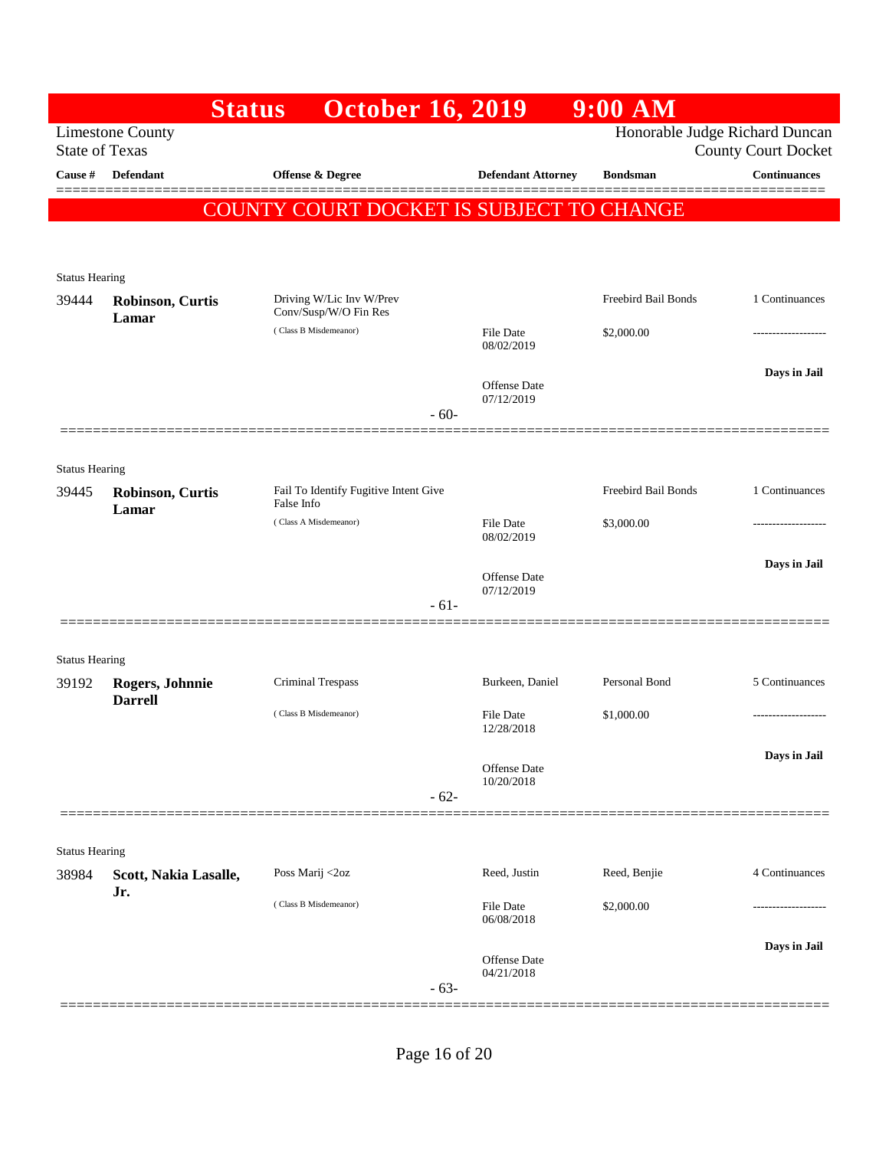|                                | <b>Status</b>                    | <b>October 16, 2019</b>                           |                                   | $9:00$ AM                      |                            |
|--------------------------------|----------------------------------|---------------------------------------------------|-----------------------------------|--------------------------------|----------------------------|
| <b>State of Texas</b>          | <b>Limestone County</b>          |                                                   |                                   | Honorable Judge Richard Duncan | <b>County Court Docket</b> |
| Cause #                        | <b>Defendant</b>                 | Offense & Degree                                  | <b>Defendant Attorney</b>         | <b>Bondsman</b>                | <b>Continuances</b>        |
|                                |                                  | COUNTY COURT DOCKET IS SUBJECT TO CHANGE          |                                   |                                |                            |
|                                |                                  |                                                   |                                   |                                |                            |
| <b>Status Hearing</b>          |                                  |                                                   |                                   |                                |                            |
| 39444                          | <b>Robinson, Curtis</b><br>Lamar | Driving W/Lic Inv W/Prev<br>Conv/Susp/W/O Fin Res |                                   | Freebird Bail Bonds            | 1 Continuances             |
|                                |                                  | (Class B Misdemeanor)                             | <b>File Date</b><br>08/02/2019    | \$2,000.00                     |                            |
|                                |                                  |                                                   | <b>Offense Date</b>               |                                | Days in Jail               |
|                                |                                  | $-60-$                                            | 07/12/2019                        |                                |                            |
|                                |                                  |                                                   |                                   |                                |                            |
| <b>Status Hearing</b><br>39445 | Robinson, Curtis                 | Fail To Identify Fugitive Intent Give             |                                   | Freebird Bail Bonds            | 1 Continuances             |
|                                | Lamar                            | False Info<br>(Class A Misdemeanor)               | <b>File Date</b>                  | \$3,000.00                     |                            |
|                                |                                  |                                                   | 08/02/2019                        |                                |                            |
|                                |                                  |                                                   | <b>Offense Date</b><br>07/12/2019 |                                | Days in Jail               |
|                                |                                  | $-61-$                                            |                                   |                                |                            |
|                                |                                  |                                                   |                                   |                                |                            |
| <b>Status Hearing</b><br>39192 | Rogers, Johnnie                  | Criminal Trespass                                 | Burkeen, Daniel                   | Personal Bond                  | 5 Continuances             |
|                                | <b>Darrell</b>                   | (Class B Misdemeanor)                             | <b>File Date</b>                  | \$1,000.00                     |                            |
|                                |                                  |                                                   | 12/28/2018                        |                                | Days in Jail               |
|                                |                                  |                                                   | Offense Date<br>10/20/2018        |                                |                            |
|                                |                                  | $-62-$                                            |                                   |                                |                            |
| <b>Status Hearing</b>          |                                  |                                                   |                                   |                                |                            |
| 38984                          | Scott, Nakia Lasalle,            | Poss Marij <2oz                                   | Reed, Justin                      | Reed, Benjie                   | 4 Continuances             |
|                                | Jr.                              | (Class B Misdemeanor)                             | <b>File Date</b><br>06/08/2018    | \$2,000.00                     |                            |
|                                |                                  |                                                   |                                   |                                | Days in Jail               |
|                                |                                  | $-63-$                                            | Offense Date<br>04/21/2018        |                                |                            |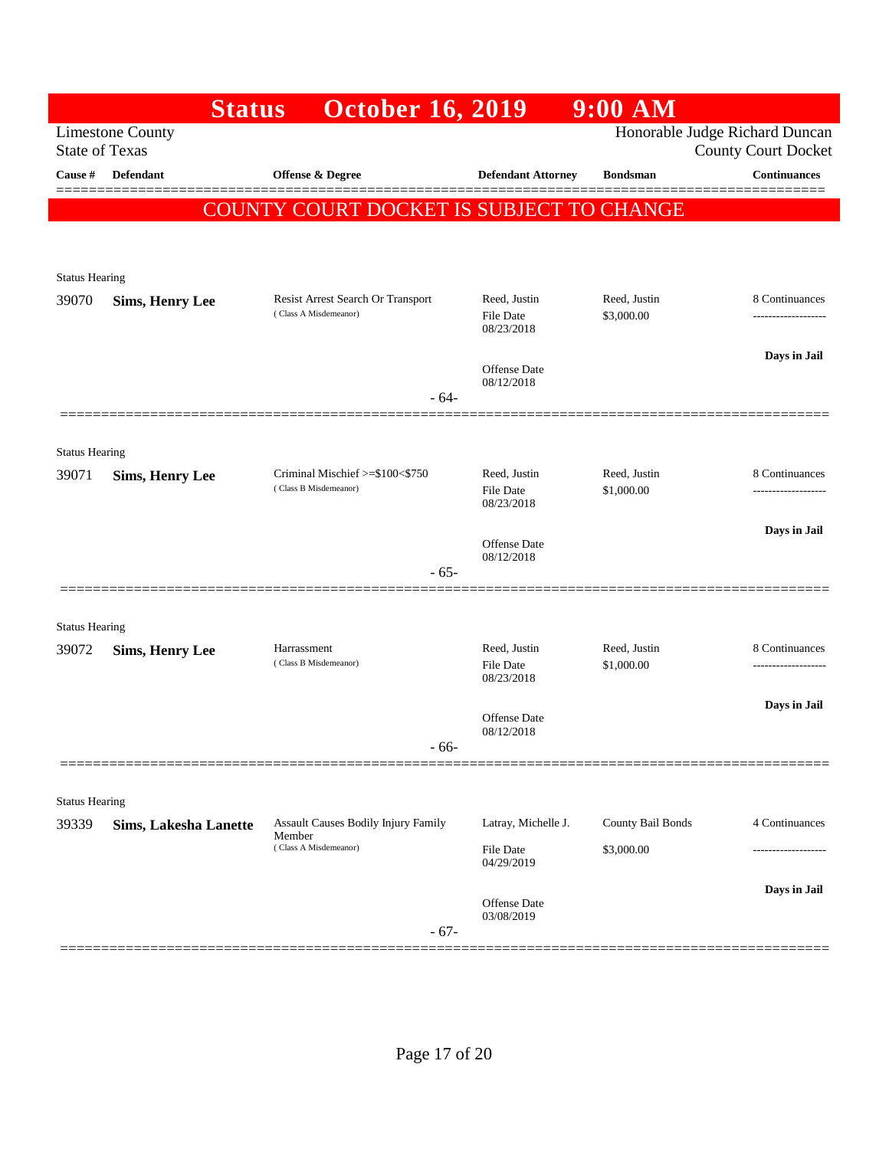|                                | <b>Status</b>                | <b>October 16, 2019</b>                                    |                                  | 9:00 AM                    |                                                              |
|--------------------------------|------------------------------|------------------------------------------------------------|----------------------------------|----------------------------|--------------------------------------------------------------|
| <b>State of Texas</b>          | <b>Limestone County</b>      |                                                            |                                  |                            | Honorable Judge Richard Duncan<br><b>County Court Docket</b> |
| Cause #                        | Defendant                    | <b>Offense &amp; Degree</b>                                | <b>Defendant Attorney</b>        | <b>Bondsman</b>            | <b>Continuances</b>                                          |
|                                | <b>COUNT</b>                 | 'Y COURT DOCKET IS SUBJECT TO CHANGE                       |                                  |                            |                                                              |
|                                |                              |                                                            |                                  |                            |                                                              |
|                                |                              |                                                            |                                  |                            |                                                              |
| <b>Status Hearing</b>          |                              |                                                            |                                  |                            |                                                              |
| 39070                          | <b>Sims, Henry Lee</b>       | Resist Arrest Search Or Transport<br>(Class A Misdemeanor) | Reed, Justin<br><b>File Date</b> | Reed, Justin<br>\$3,000.00 | 8 Continuances<br>------------------                         |
|                                |                              |                                                            | 08/23/2018                       |                            |                                                              |
|                                |                              |                                                            | <b>Offense</b> Date              |                            | Days in Jail                                                 |
|                                |                              | $-64-$                                                     | 08/12/2018                       |                            |                                                              |
|                                |                              |                                                            |                                  |                            |                                                              |
| <b>Status Hearing</b>          |                              |                                                            |                                  |                            |                                                              |
| 39071                          | <b>Sims, Henry Lee</b>       | Criminal Mischief >=\$100<\$750                            | Reed, Justin                     | Reed, Justin               | 8 Continuances                                               |
|                                |                              | (Class B Misdemeanor)                                      | <b>File Date</b><br>08/23/2018   | \$1,000.00                 |                                                              |
|                                |                              |                                                            |                                  |                            | Days in Jail                                                 |
|                                |                              |                                                            | Offense Date<br>08/12/2018       |                            |                                                              |
|                                |                              | $-65-$                                                     |                                  |                            |                                                              |
|                                |                              |                                                            |                                  |                            |                                                              |
| <b>Status Hearing</b>          |                              |                                                            |                                  |                            |                                                              |
| 39072                          | <b>Sims, Henry Lee</b>       | Harrassment<br>(Class B Misdemeanor)                       | Reed, Justin<br>File Date        | Reed, Justin<br>\$1,000.00 | 8 Continuances<br>-----------------                          |
|                                |                              |                                                            | 08/23/2018                       |                            |                                                              |
|                                |                              |                                                            |                                  |                            | Days in Jail                                                 |
|                                |                              |                                                            | Offense Date<br>08/12/2018       |                            |                                                              |
|                                |                              | - 66-                                                      |                                  |                            |                                                              |
|                                |                              |                                                            |                                  |                            |                                                              |
| <b>Status Hearing</b><br>39339 |                              | <b>Assault Causes Bodily Injury Family</b>                 | Latray, Michelle J.              | County Bail Bonds          | 4 Continuances                                               |
|                                | <b>Sims, Lakesha Lanette</b> | Member<br>(Class A Misdemeanor)                            |                                  |                            |                                                              |
|                                |                              |                                                            | File Date<br>04/29/2019          | \$3,000.00                 |                                                              |
|                                |                              |                                                            |                                  |                            | Days in Jail                                                 |
|                                |                              |                                                            | Offense Date<br>03/08/2019       |                            |                                                              |
|                                |                              | $-67-$                                                     |                                  |                            |                                                              |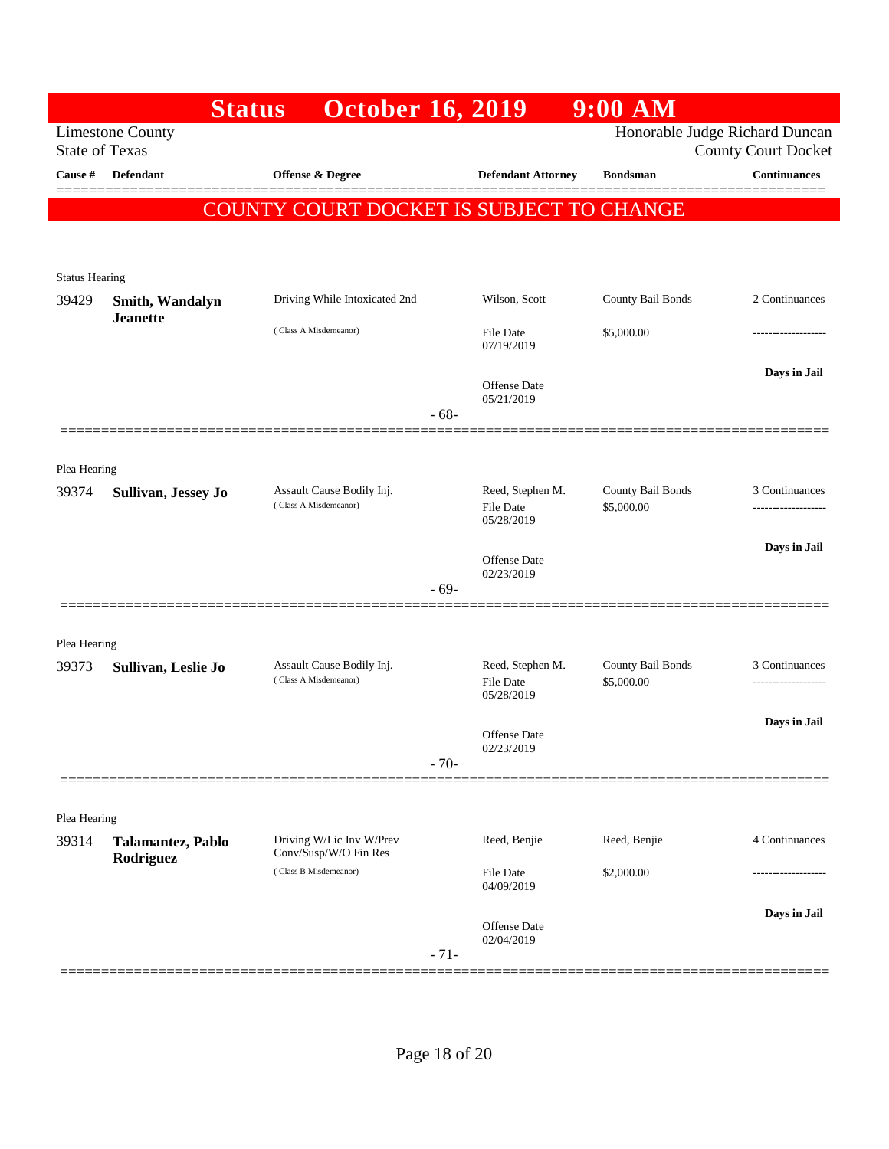|                       | <b>Status</b>                  | <b>October 16, 2019</b>                            |                                | $9:00$ AM                       |                                                              |
|-----------------------|--------------------------------|----------------------------------------------------|--------------------------------|---------------------------------|--------------------------------------------------------------|
| <b>State of Texas</b> | <b>Limestone County</b>        |                                                    |                                |                                 | Honorable Judge Richard Duncan<br><b>County Court Docket</b> |
| Cause #               | Defendant                      | Offense & Degree                                   | <b>Defendant Attorney</b>      | <b>Bondsman</b>                 | <b>Continuances</b>                                          |
|                       | <b>COUNT</b>                   | 'Y COURT DOCKET IS SUBJECT TO CHANGE               |                                |                                 |                                                              |
|                       |                                |                                                    |                                |                                 |                                                              |
| <b>Status Hearing</b> |                                |                                                    |                                |                                 |                                                              |
| 39429                 | Smith, Wandalyn                | Driving While Intoxicated 2nd                      | Wilson, Scott                  | County Bail Bonds               | 2 Continuances                                               |
|                       | <b>Jeanette</b>                | (Class A Misdemeanor)                              | <b>File Date</b>               | \$5,000.00                      | ----------------                                             |
|                       |                                |                                                    | 07/19/2019                     |                                 |                                                              |
|                       |                                |                                                    | Offense Date                   |                                 | Days in Jail                                                 |
|                       |                                | $-68-$                                             | 05/21/2019                     |                                 |                                                              |
|                       |                                |                                                    |                                |                                 |                                                              |
| Plea Hearing          |                                |                                                    |                                |                                 |                                                              |
| 39374                 | Sullivan, Jessey Jo            | Assault Cause Bodily Inj.<br>(Class A Misdemeanor) | Reed, Stephen M.<br>File Date  | County Bail Bonds<br>\$5,000.00 | 3 Continuances<br>-------------------                        |
|                       |                                |                                                    | 05/28/2019                     |                                 |                                                              |
|                       |                                |                                                    | <b>Offense</b> Date            |                                 | Days in Jail                                                 |
|                       |                                | - 69-                                              | 02/23/2019                     |                                 |                                                              |
|                       |                                |                                                    |                                |                                 |                                                              |
| Plea Hearing          |                                |                                                    |                                |                                 |                                                              |
| 39373                 | Sullivan, Leslie Jo            | Assault Cause Bodily Inj.<br>(Class A Misdemeanor) | Reed, Stephen M.<br>File Date  | County Bail Bonds<br>\$5,000.00 | 3 Continuances                                               |
|                       |                                |                                                    | 05/28/2019                     |                                 |                                                              |
|                       |                                |                                                    | <b>Offense</b> Date            |                                 | Days in Jail                                                 |
|                       |                                | $-70-$                                             | 02/23/2019                     |                                 |                                                              |
|                       |                                |                                                    |                                |                                 |                                                              |
| Plea Hearing          |                                |                                                    |                                |                                 |                                                              |
| 39314                 | Talamantez, Pablo<br>Rodriguez | Driving W/Lic Inv W/Prev<br>Conv/Susp/W/O Fin Res  | Reed, Benjie                   | Reed, Benjie                    | 4 Continuances                                               |
|                       |                                | (Class B Misdemeanor)                              | <b>File Date</b><br>04/09/2019 | \$2,000.00                      |                                                              |
|                       |                                |                                                    |                                |                                 | Days in Jail                                                 |
|                       |                                |                                                    | Offense Date<br>02/04/2019     |                                 |                                                              |
|                       |                                | $-71-$                                             |                                |                                 |                                                              |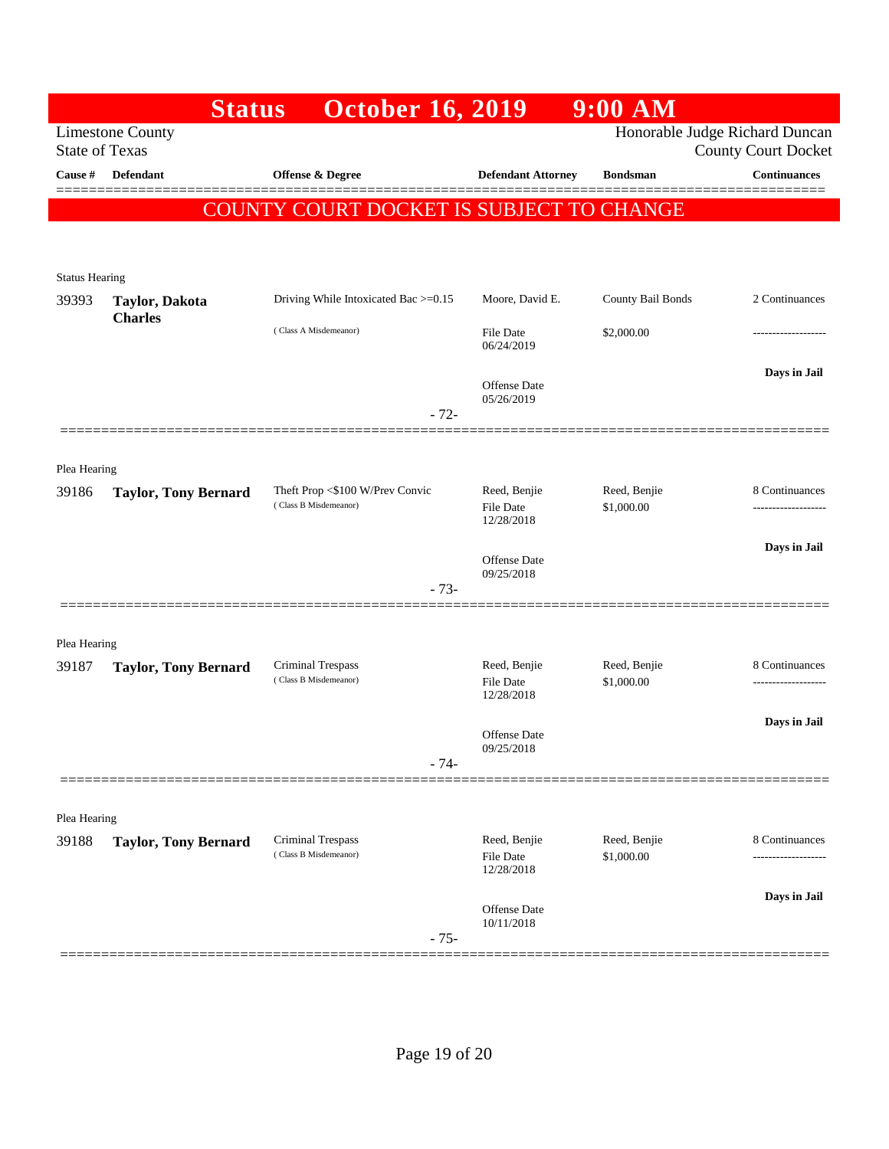|                       | <b>Status</b>               | <b>October 16, 2019</b>                                  |                                                | $9:00$ AM                      |                                       |
|-----------------------|-----------------------------|----------------------------------------------------------|------------------------------------------------|--------------------------------|---------------------------------------|
| <b>State of Texas</b> | <b>Limestone County</b>     |                                                          |                                                | Honorable Judge Richard Duncan | <b>County Court Docket</b>            |
| Cause #               | Defendant                   | Offense & Degree                                         | <b>Defendant Attorney</b>                      | <b>Bondsman</b>                | <b>Continuances</b>                   |
|                       | <b>COUNT</b>                | 'Y COURT DOCKET IS SUBJECT TO CHANGE                     |                                                |                                |                                       |
|                       |                             |                                                          |                                                |                                |                                       |
| <b>Status Hearing</b> |                             |                                                          |                                                |                                |                                       |
| 39393                 | Taylor, Dakota              | Driving While Intoxicated Bac >=0.15                     | Moore, David E.                                | County Bail Bonds              | 2 Continuances                        |
|                       | <b>Charles</b>              | (Class A Misdemeanor)                                    | File Date<br>06/24/2019                        | \$2,000.00                     |                                       |
|                       |                             |                                                          | Offense Date<br>05/26/2019                     |                                | Days in Jail                          |
|                       |                             | $-72-$                                                   |                                                |                                |                                       |
|                       |                             |                                                          |                                                |                                |                                       |
| Plea Hearing<br>39186 | <b>Taylor, Tony Bernard</b> | Theft Prop <\$100 W/Prev Convic<br>(Class B Misdemeanor) | Reed, Benjie<br><b>File Date</b><br>12/28/2018 | Reed, Benjie<br>\$1,000.00     | 8 Continuances<br>------------------  |
|                       |                             |                                                          |                                                |                                | Days in Jail                          |
|                       |                             | $-73-$                                                   | Offense Date<br>09/25/2018                     |                                |                                       |
|                       |                             |                                                          |                                                |                                |                                       |
| Plea Hearing          |                             |                                                          |                                                |                                |                                       |
| 39187                 | <b>Taylor, Tony Bernard</b> | Criminal Trespass<br>(Class B Misdemeanor)               | Reed, Benjie<br><b>File Date</b><br>12/28/2018 | Reed, Benjie<br>\$1,000.00     | 8 Continuances<br>------------------- |
|                       |                             |                                                          | <b>Offense</b> Date                            |                                | Days in Jail                          |
|                       |                             | $-74-$                                                   | 09/25/2018                                     |                                |                                       |
| Plea Hearing          |                             |                                                          |                                                |                                |                                       |
| 39188                 | <b>Taylor, Tony Bernard</b> | <b>Criminal Trespass</b>                                 | Reed, Benjie                                   | Reed, Benjie                   | 8 Continuances                        |
|                       |                             | (Class B Misdemeanor)                                    | File Date<br>12/28/2018                        | \$1,000.00                     |                                       |
|                       |                             | $-75-$                                                   | Offense Date<br>10/11/2018                     |                                | Days in Jail                          |